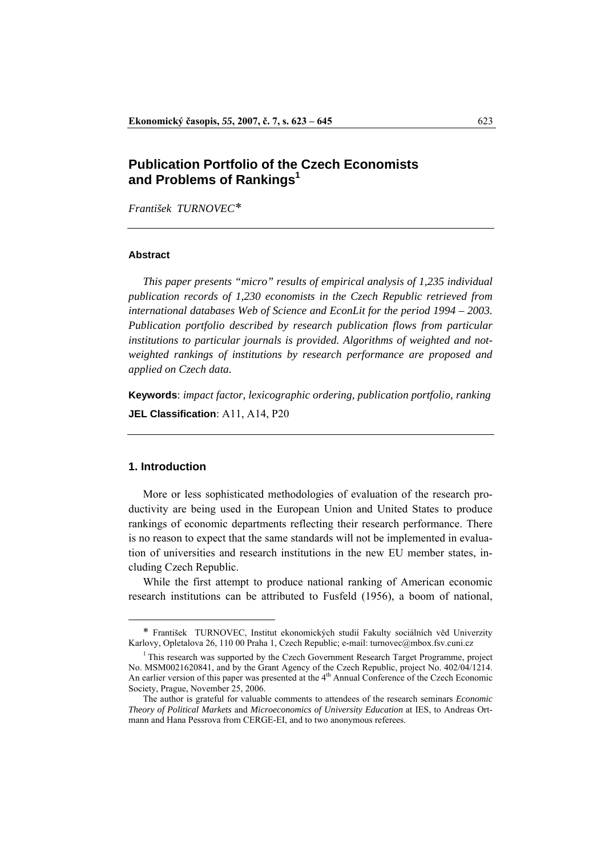# **Publication Portfolio of the Czech Economists and Problems of Rankings1**

*František TURNOVEC*[\\*](#page-0-0)[1](#page-0-1)

### **Abstract**

*This paper presents "micro" results of empirical analysis of 1,235 individual publication records of 1,230 economists in the Czech Republic retrieved from international databases Web of Science and EconLit for the period 1994 – 2003. Publication portfolio described by research publication flows from particular institutions to particular journals is provided. Algorithms of weighted and notweighted rankings of institutions by research performance are proposed and applied on Czech data.* 

**Keywords**: *impact factor, lexicographic ordering, publication portfolio, ranking*

**JEL Classification**: A11, A14, P20

# **1. Introduction**

 $\overline{a}$ 

 More or less sophisticated methodologies of evaluation of the research productivity are being used in the European Union and United States to produce rankings of economic departments reflecting their research performance. There is no reason to expect that the same standards will not be implemented in evaluation of universities and research institutions in the new EU member states, including Czech Republic.

 While the first attempt to produce national ranking of American economic research institutions can be attributed to Fusfeld (1956), a boom of national,

<span id="page-0-0"></span><sup>\*</sup> František TURNOVEC, Institut ekonomických studií Fakulty sociálních věd Univerzity Karlovy, Opletalova 26, 110 00 Praha 1, Czech Republic; e-mail: [turnovec@mbox.fsv.cuni.cz](mailto:turnovec@mbox.fsv.cuni.cz)

<span id="page-0-1"></span> $1$ <sup>1</sup> This research was supported by the Czech Government Research Target Programme, project No. MSM0021620841, and by the Grant Agency of the Czech Republic, project No. 402/04/1214. An earlier version of this paper was presented at the  $4<sup>th</sup>$  Annual Conference of the Czech Economic Society, Prague, November 25, 2006.

The author is grateful for valuable comments to attendees of the research seminars *Economic Theory of Political Markets* and *Microeconomics of University Education* at IES, to Andreas Ortmann and Hana Pessrova from CERGE-EI, and to two anonymous referees.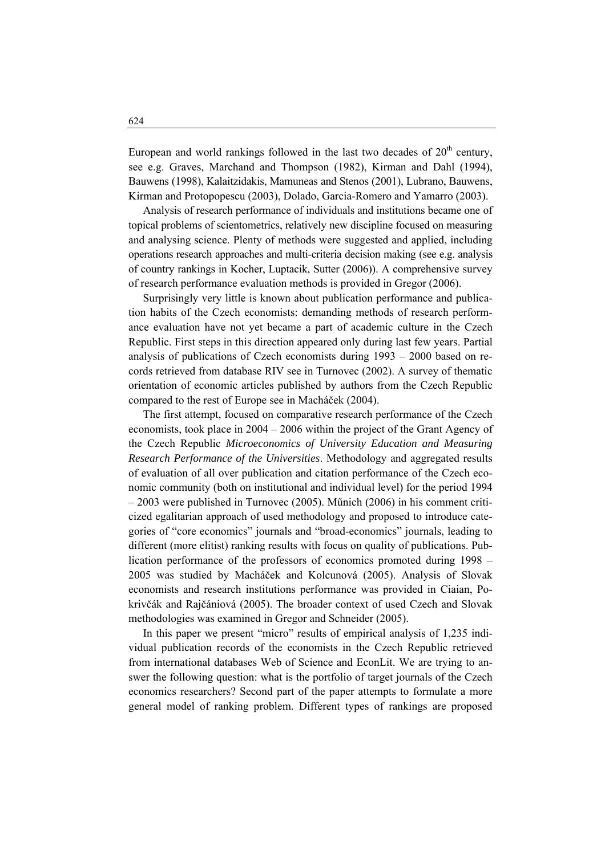European and world rankings followed in the last two decades of  $20<sup>th</sup>$  century, see e.g. Graves, Marchand and Thompson (1982), Kirman and Dahl (1994), Bauwens (1998), Kalaitzidakis, Mamuneas and Stenos (2001), Lubrano, Bauwens, Kirman and Protopopescu (2003), Dolado, Garcia-Romero and Yamarro (2003).

 Analysis of research performance of individuals and institutions became one of topical problems of scientometrics, relatively new discipline focused on measuring and analysing science. Plenty of methods were suggested and applied, including operations research approaches and multi-criteria decision making (see e.g. analysis of country rankings in Kocher, Luptacik, Sutter (2006)). A comprehensive survey of research performance evaluation methods is provided in Gregor (2006).

 Surprisingly very little is known about publication performance and publication habits of the Czech economists: demanding methods of research performance evaluation have not yet became a part of academic culture in the Czech Republic. First steps in this direction appeared only during last few years. Partial analysis of publications of Czech economists during 1993 – 2000 based on records retrieved from database RIV see in Turnovec (2002). A survey of thematic orientation of economic articles published by authors from the Czech Republic compared to the rest of Europe see in Macháček (2004).

 The first attempt, focused on comparative research performance of the Czech economists, took place in 2004 – 2006 within the project of the Grant Agency of the Czech Republic *Microeconomics of University Education and Measuring Research Performance of the Universities*. Methodology and aggregated results of evaluation of all over publication and citation performance of the Czech economic community (both on institutional and individual level) for the period 1994 – 2003 were published in Turnovec (2005). Műnich (2006) in his comment criticized egalitarian approach of used methodology and proposed to introduce categories of "core economics" journals and "broad-economics" journals, leading to different (more elitist) ranking results with focus on quality of publications. Publication performance of the professors of economics promoted during 1998 – 2005 was studied by Macháček and Kolcunová (2005). Analysis of Slovak economists and research institutions performance was provided in Ciaian, Pokrivčák and Rajčániová (2005). The broader context of used Czech and Slovak methodologies was examined in Gregor and Schneider (2005).

 In this paper we present "micro" results of empirical analysis of 1,235 individual publication records of the economists in the Czech Republic retrieved from international databases Web of Science and EconLit. We are trying to answer the following question: what is the portfolio of target journals of the Czech economics researchers? Second part of the paper attempts to formulate a more general model of ranking problem. Different types of rankings are proposed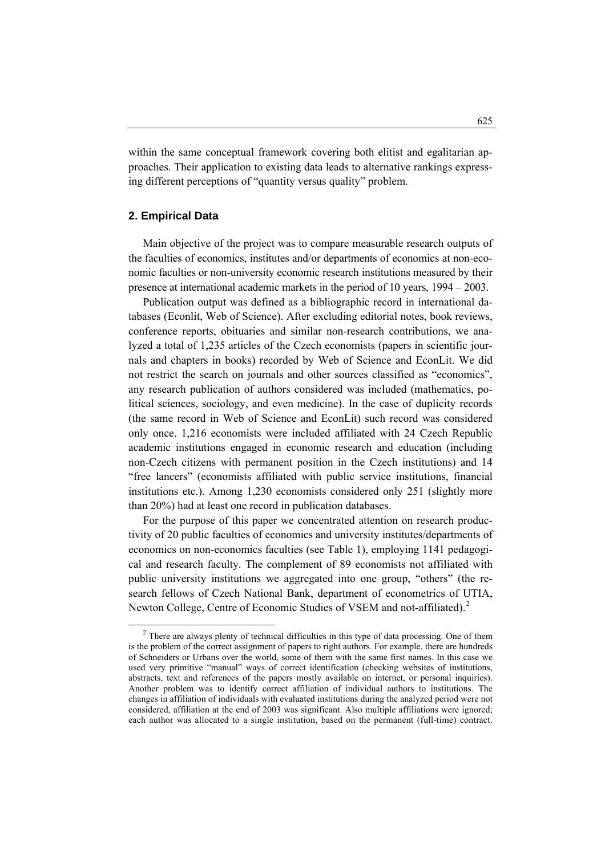within the same conceptual framework covering both elitist and egalitarian approaches. Their application to existing data leads to alternative rankings expressing different perceptions of "quantity versus quality" problem.

## **2. Empirical Data**

 Main objective of the project was to compare measurable research outputs of the faculties of economics, institutes and/or departments of economics at non-economic faculties or non-university economic research institutions measured by their presence at international academic markets in the period of 10 years, 1994 – 2003.

 Publication output was defined as a bibliographic record in international databases (Econlit, Web of Science). After excluding editorial notes, book reviews, conference reports, obituaries and similar non-research contributions, we analyzed a total of 1,235 articles of the Czech economists (papers in scientific journals and chapters in books) recorded by Web of Science and EconLit. We did not restrict the search on journals and other sources classified as "economics", any research publication of authors considered was included (mathematics, political sciences, sociology, and even medicine). In the case of duplicity records (the same record in Web of Science and EconLit) such record was considered only once. 1,216 economists were included affiliated with 24 Czech Republic academic institutions engaged in economic research and education (including non-Czech citizens with permanent position in the Czech institutions) and 14 "free lancers" (economists affiliated with public service institutions, financial institutions etc.). Among 1,230 economists considered only 251 (slightly more than 20%) had at least one record in publication databases.

 For the purpose of this paper we concentrated attention on research productivity of 20 public faculties of economics and university institutes/departments of economics on non-economics faculties (see Table 1), employing 1141 pedagogical and research faculty. The complement of 89 economists not affiliated with public university institutions we aggregated into one group, "others" (the research fellows of Czech National Bank, department of econometrics of UTIA, Newton College, Centre of Economic Studies of VSEM and not-affiliated).<sup>[2](#page-2-0)</sup>

<span id="page-2-0"></span> <sup>2</sup> <sup>2</sup> There are always plenty of technical difficulties in this type of data processing. One of them is the problem of the correct assignment of papers to right authors. For example, there are hundreds of Schneiders or Urbans over the world, some of them with the same first names. In this case we used very primitive "manual" ways of correct identification (checking websites of institutions, abstracts, text and references of the papers mostly available on internet, or personal inquiries). Another problem was to identify correct affiliation of individual authors to institutions. The changes in affiliation of individuals with evaluated institutions during the analyzed period were not considered, affiliation at the end of 2003 was significant. Also multiple affiliations were ignored; each author was allocated to a single institution, based on the permanent (full-time) contract.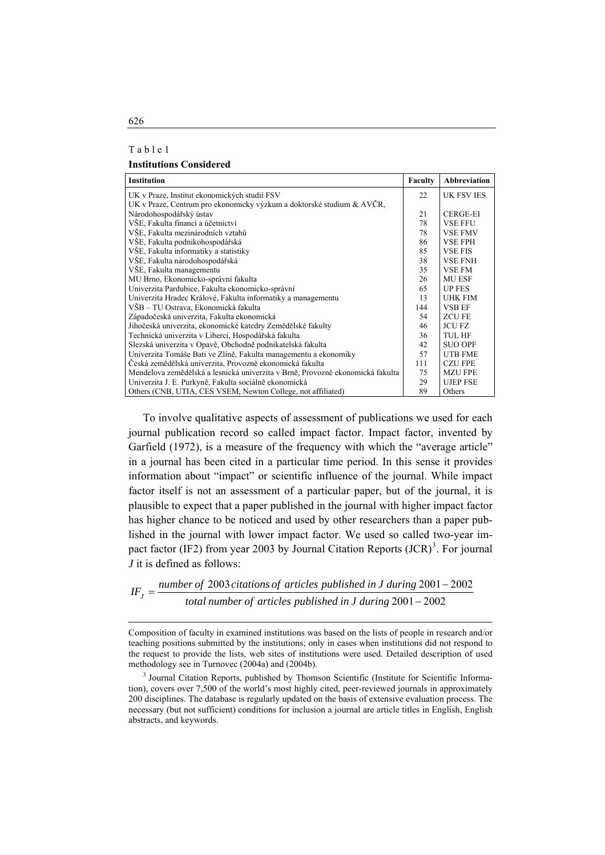| ı | abl |  | ≂ |  |
|---|-----|--|---|--|
|   |     |  |   |  |

#### **Institutions Considered**

| <b>Institution</b>                                                             | Faculty | <b>Abbreviation</b> |
|--------------------------------------------------------------------------------|---------|---------------------|
| UK v Praze, Institut ekonomických studií FSV                                   | 22      | <b>UK FSV IES</b>   |
| UK v Praze, Centrum pro ekonomicky výzkum a doktorské studium & AVČR,          |         |                     |
| Národohospodářský ústav                                                        | 21      | <b>CERGE-EI</b>     |
| VŠE, Fakulta financí a účetnictví                                              | 78      | <b>VSE FFU</b>      |
| VŠE, Fakulta mezinárodních vztahů                                              | 78      | <b>VSE FMV</b>      |
| VŠE, Fakulta podnikohospodářská                                                | 86      | <b>VSE FPH</b>      |
| VŠE, Fakulta informatiky a statistiky                                          | 85      | <b>VSE FIS</b>      |
| VŠE, Fakulta národohospodářská                                                 | 38      | <b>VSE FNH</b>      |
| VŠE, Fakulta managementu                                                       | 35      | <b>VSE FM</b>       |
| MU Brno, Ekonomicko-správní fakulta                                            | 26      | <b>MU ESF</b>       |
| Univerzita Pardubice, Fakulta ekonomicko-správní                               | 65      | <b>UP FES</b>       |
| Univerzita Hradec Králové, Fakulta informatiky a managementu                   | 13      | <b>UHK FIM</b>      |
| VŠB – TU Ostrava, Ekonomická fakulta                                           | 144     | <b>VSB EF</b>       |
| Západočeská univerzita, Fakulta ekonomická                                     | 54      | <b>ZCUFE</b>        |
| Jihočeská univerzita, ekonomické katedry Zemědělské fakulty                    | 46      | <b>JCU FZ</b>       |
| Technická univerzita v Liberci, Hospodářská fakulta                            | 36      | <b>TUL HF</b>       |
| Slezská univerzita v Opavě, Obchodně podnikatelská fakulta                     | 42      | <b>SUO OPF</b>      |
| Univerzita Tomáše Bati ve Zlíně, Fakulta managementu a ekonomiky               | 57      | <b>UTB FME</b>      |
| Česká zemědělská univerzita, Provozně ekonomická fakulta                       | 111     | <b>CZU FPE</b>      |
| Mendelova zemědělská a lesnická univerzita v Brně, Provozně ekonomická fakulta | 75      | <b>MZU FPE</b>      |
| Univerzita J. E. Purkyně, Fakulta sociálně ekonomická                          | 29      | <b>UJEP FSE</b>     |
| Others (CNB, UTIA, CES VSEM, Newton College, not affiliated)                   | 89      | Others              |

 To involve qualitative aspects of assessment of publications we used for each journal publication record so called impact factor. Impact factor, invented by Garfield (1972), is a measure of the frequency with which the "average article" in a journal has been cited in a particular time period. In this sense it provides information about "impact" or scientific influence of the journal. While impact factor itself is not an assessment of a particular paper, but of the journal, it is plausible to expect that a paper published in the journal with higher impact factor has higher chance to be noticed and used by other researchers than a paper published in the journal with lower impact factor. We used so called two-year im-pact factor (IF2) from year 200[3](#page-3-0) by Journal Citation Reports  $(JCR)^3$ . For journal *J* it is defined as follows:

 $IF_J = \frac{number\ of\ 2003\ citations\ of\ articles\ published\ in\ J\ during\ 2001-2002}{total\ number\ of\ articles\ published\ in\ J\ during\ 2001-2002}$ 2001 2002 *<sup>J</sup> total number of articles published in J during*

Composition of faculty in examined institutions was based on the lists of people in research and/or teaching positions submitted by the institutions; only in cases when institutions did not respond to the request to provide the lists, web sites of institutions were used. Detailed description of used methodology see in Turnovec (2004a) and (2004b).

<span id="page-3-0"></span><sup>3</sup> Journal Citation Reports, published by Thomson Scientific (Institute for Scientific Information), covers over 7,500 of the world's most highly cited, peer-reviewed journals in approximately 200 disciplines. The database is regularly updated on the basis of extensive evaluation process. The necessary (but not sufficient) conditions for inclusion a journal are article titles in English, English abstracts, and keywords.

 $\overline{a}$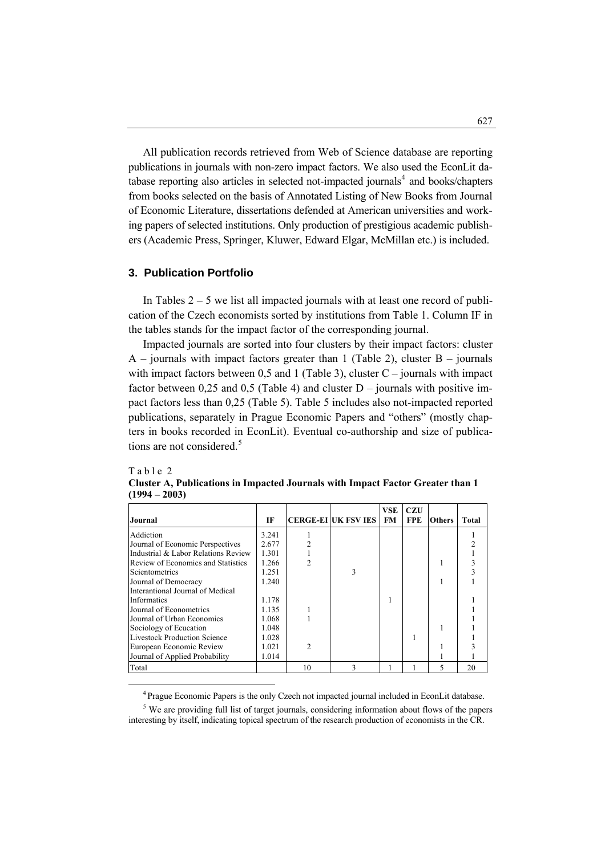All publication records retrieved from Web of Science database are reporting publications in journals with non-zero impact factors. We also used the EconLit da-tabase reporting also articles in selected not-impacted journals<sup>[4](#page-4-0)</sup> and books/chapters from books selected on the basis of Annotated Listing of New Books from Journal of Economic Literature, dissertations defended at American universities and working papers of selected institutions. Only production of prestigious academic publishers (Academic Press, Springer, Kluwer, Edward Elgar, McMillan etc.) is included.

# **3. Publication Portfolio**

In Tables  $2 - 5$  we list all impacted journals with at least one record of publication of the Czech economists sorted by institutions from Table 1. Column IF in the tables stands for the impact factor of the corresponding journal.

 Impacted journals are sorted into four clusters by their impact factors: cluster  $A$  – journals with impact factors greater than 1 (Table 2), cluster  $B$  – journals with impact factors between 0,5 and 1 (Table 3), cluster  $C -$  journals with impact factor between 0,25 and 0,5 (Table 4) and cluster  $D -$  journals with positive impact factors less than 0,25 (Table 5). Table 5 includes also not-impacted reported publications, separately in Prague Economic Papers and "others" (mostly chapters in books recorded in EconLit). Eventual co-authorship and size of publica-tions are not considered.<sup>[5](#page-4-1)</sup>

### Table 2

| Journal                             | IF    |    | <b>CERGE-EI UK FSV IES</b> | <b>VSE</b><br><b>FM</b> | <b>CZU</b><br><b>FPE</b> | <b>Others</b> | Total |
|-------------------------------------|-------|----|----------------------------|-------------------------|--------------------------|---------------|-------|
| Addiction                           | 3.241 |    |                            |                         |                          |               |       |
| Journal of Economic Perspectives    | 2.677 |    |                            |                         |                          |               |       |
| Industrial & Labor Relations Review | 1.301 |    |                            |                         |                          |               |       |
| Review of Economics and Statistics  | 1.266 |    |                            |                         |                          |               |       |
| Scientometrics                      | 1.251 |    |                            |                         |                          |               |       |
| Journal of Democracy                | 1.240 |    |                            |                         |                          |               |       |
| Interantional Journal of Medical    |       |    |                            |                         |                          |               |       |
| <b>Informatics</b>                  | 1.178 |    |                            |                         |                          |               |       |
| Journal of Econometrics             | 1.135 |    |                            |                         |                          |               |       |
| Journal of Urban Economics          | 1.068 |    |                            |                         |                          |               |       |
| Sociology of Ecucation              | 1.048 |    |                            |                         |                          |               |       |
| <b>Livestock Production Science</b> | 1.028 |    |                            |                         |                          |               |       |
| European Economic Review            | 1.021 |    |                            |                         |                          |               |       |
| Journal of Applied Probability      | 1.014 |    |                            |                         |                          |               |       |
| Total                               |       | 10 |                            |                         |                          |               | 20    |

**Cluster A, Publications in Impacted Journals with Impact Factor Greater than 1 (1994 – 2003)** 

<span id="page-4-1"></span><span id="page-4-0"></span><sup>5</sup> We are providing full list of target journals, considering information about flows of the papers interesting by itself, indicating topical spectrum of the research production of economists in the CR.

 <sup>4</sup> Prague Economic Papers is the only Czech not impacted journal included in EconLit database.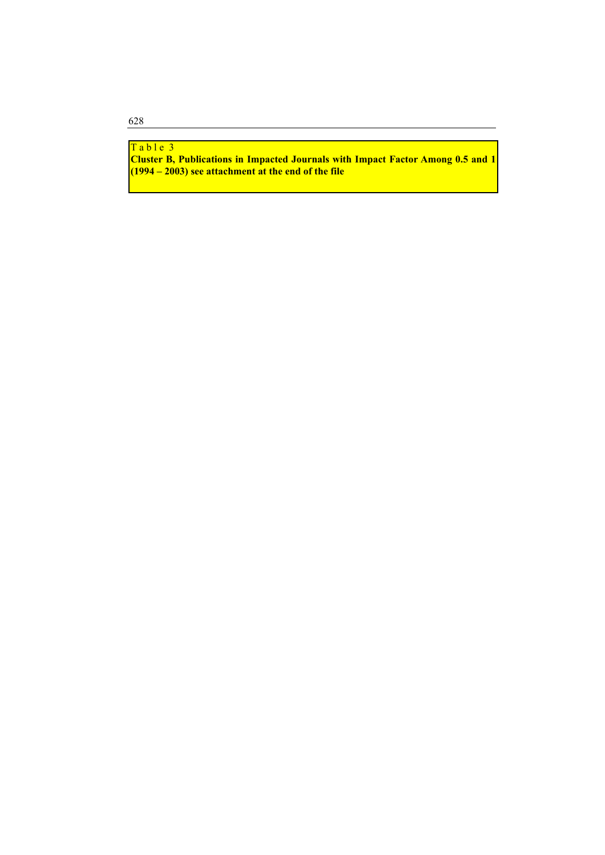# Table 3

**Cluster B, Publications in Impacted Journals with Impact Factor Among 0.5 and 1 (1994 – 2003) see attachment at the end of the file**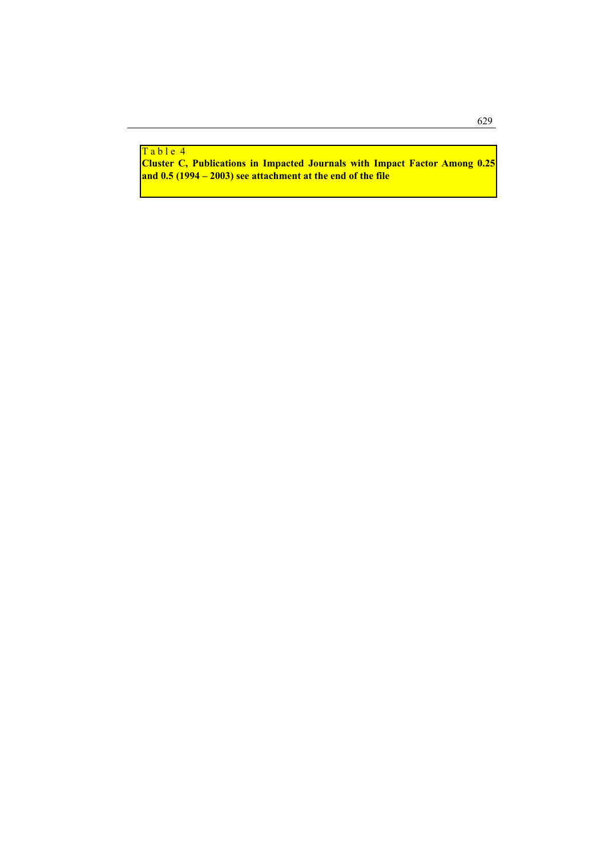#### <mark>Table 4</mark>

**Cluster C, Publications in Impacted Journals with Impact Factor Among 0.25 and 0.5 (1994 – 2003) see attachment at the end of the file**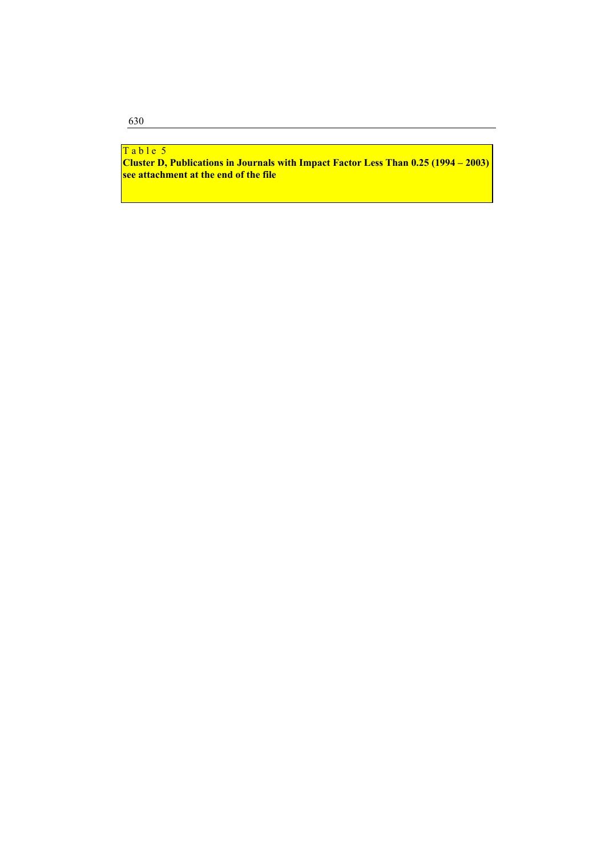#### <mark>Table 5</mark>

**Cluster D, Publications in Journals with Impact Factor Less Than 0.25 (1994 – 2003) see attachment at the end of the file**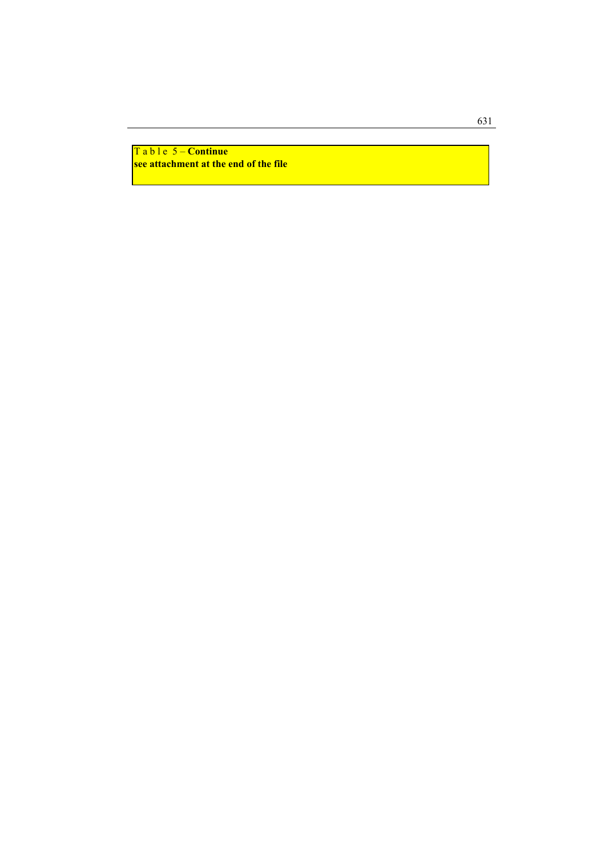T a b l e 5 – **Continue see attachment at the end of the file**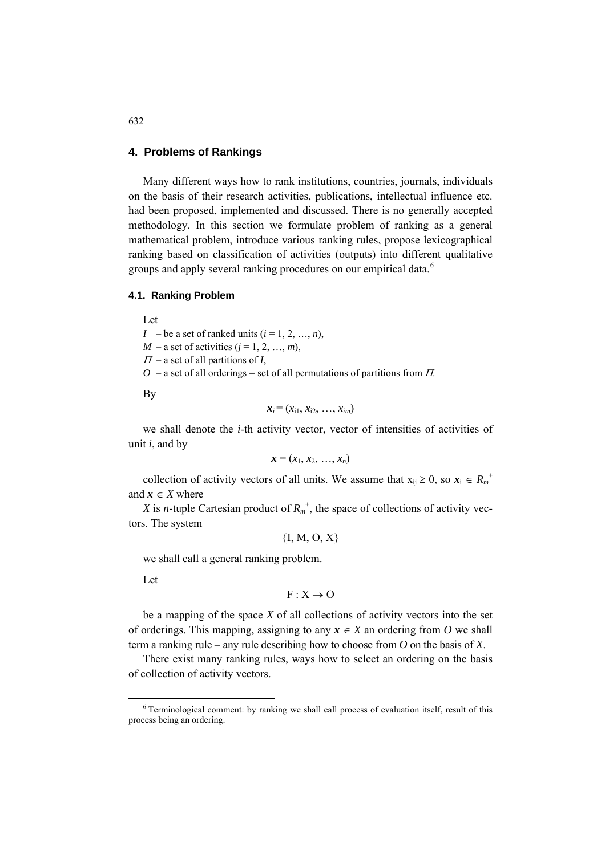# **4. Problems of Rankings**

 Many different ways how to rank institutions, countries, journals, individuals on the basis of their research activities, publications, intellectual influence etc. had been proposed, implemented and discussed. There is no generally accepted methodology. In this section we formulate problem of ranking as a general mathematical problem, introduce various ranking rules, propose lexicographical ranking based on classification of activities (outputs) into different qualitative groups and apply several ranking procedures on our empirical data.<sup>[6](#page-9-0)</sup>

### **4.1. Ranking Problem**

 Let *I* – be a set of ranked units  $(i = 1, 2, ..., n)$ ,  $M - a$  set of activities  $(j = 1, 2, ..., m)$ ,  $\Pi$  – a set of all partitions of *I*,  $O$  – a set of all orderings = set of all permutations of partitions from  $\Pi$ .

By

$$
\mathbf{x}_i = (x_{i1}, x_{i2}, \ldots, x_{im})
$$

 we shall denote the *i*-th activity vector, vector of intensities of activities of unit *i*, and by

$$
\mathbf{x}=(x_1,x_2,\ldots,x_n)
$$

collection of activity vectors of all units. We assume that  $x_{ij} \ge 0$ , so  $x_i \in R_m^+$ and  $x \in X$  where

X is *n*-tuple Cartesian product of  $R_m^+$ , the space of collections of activity vectors. The system

$$
\{I, M, O, X\}
$$

we shall call a general ranking problem.

Let

 $\overline{a}$ 

 $F : X \rightarrow O$ 

 be a mapping of the space *X* of all collections of activity vectors into the set of orderings. This mapping, assigning to any  $x \in X$  an ordering from O we shall term a ranking rule – any rule describing how to choose from *O* on the basis of *X*.

 There exist many ranking rules, ways how to select an ordering on the basis of collection of activity vectors.

<span id="page-9-0"></span><sup>6</sup> Terminological comment: by ranking we shall call process of evaluation itself, result of this process being an ordering.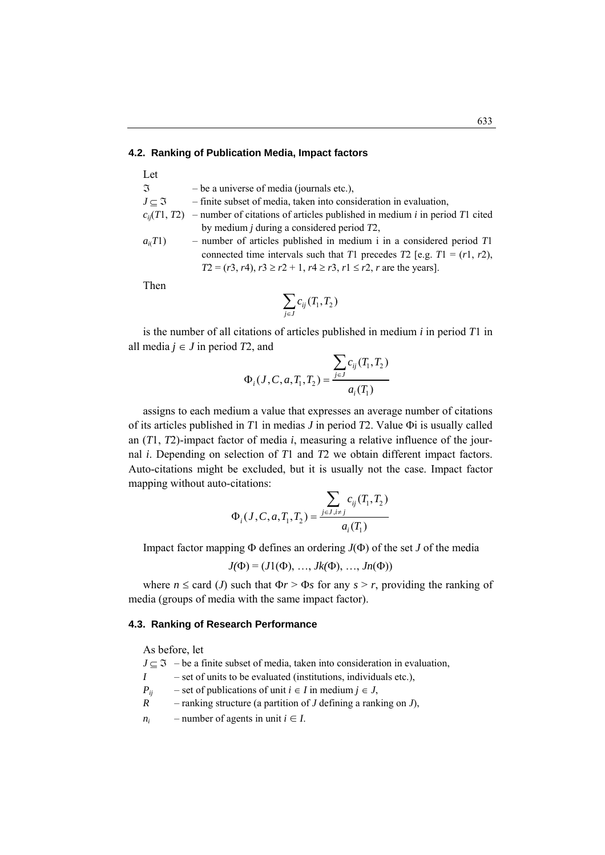#### **4.2. Ranking of Publication Media, Impact factors**

| Let                      |                                                                                                    |
|--------------------------|----------------------------------------------------------------------------------------------------|
| $\mathfrak{I}$           | $-$ be a universe of media (journals etc.),                                                        |
| $J \subset \mathfrak{I}$ | - finite subset of media, taken into consideration in evaluation,                                  |
|                          | $c_{ii}(T1, T2)$ – number of citations of articles published in medium <i>i</i> in period T1 cited |
|                          | by medium $j$ during a considered period $T2$ ,                                                    |
| $a_i(T1)$                | - number of articles published in medium i in a considered period $T1$                             |
|                          | connected time intervals such that T1 precedes T2 [e.g. $T1 = (r1, r2)$ ,                          |
|                          | $T2 = (r3, r4), r3 \ge r2 + 1, r4 \ge r3, r1 \le r2, r$ are the years].                            |

Then

$$
\sum_{j\in J} c_{ij}(T_1,T_2)
$$

 is the number of all citations of articles published in medium *i* in period *T*1 in all media  $j \in J$  in period  $T2$ , and

$$
\Phi_i(J, C, a, T_1, T_2) = \frac{\displaystyle\sum_{j \in J} c_{ij}(T_1, T_2)}{a_i(T_1)}
$$

 assigns to each medium a value that expresses an average number of citations of its articles published in *T*1 in medias *J* in period *T*2. Value Φi is usually called an (*T*1, *T*2)-impact factor of media *i*, measuring a relative influence of the journal *i*. Depending on selection of *T*1 and *T*2 we obtain different impact factors. Auto-citations might be excluded, but it is usually not the case. Impact factor mapping without auto-citations:

$$
\Phi_i(J, C, a, T_1, T_2) = \frac{\displaystyle\sum_{j \in J, i \neq j} c_{ij}(T_1, T_2)}{a_i(T_1)}
$$

Impact factor mapping Φ defines an ordering *J*(Φ) of the set *J* of the media

$$
J(\Phi) = (J1(\Phi), ..., Jk(\Phi), ..., Jn(\Phi))
$$

where  $n \leq$  card (*J*) such that  $\Phi r > \Phi s$  for any  $s > r$ , providing the ranking of media (groups of media with the same impact factor).

#### **4.3. Ranking of Research Performance**

As before, let

 $J \subset \mathfrak{I}$  – be a finite subset of media, taken into consideration in evaluation,  $I$  – set of units to be evaluated (institutions, individuals etc.), *P<sub>ij</sub>* – set of publications of unit *i* ∈ *I* in medium *j* ∈ *J*, *R* – ranking structure (a partition of *J* defining a ranking on *J*), *n<sub>i</sub>* – number of agents in unit  $i \in I$ .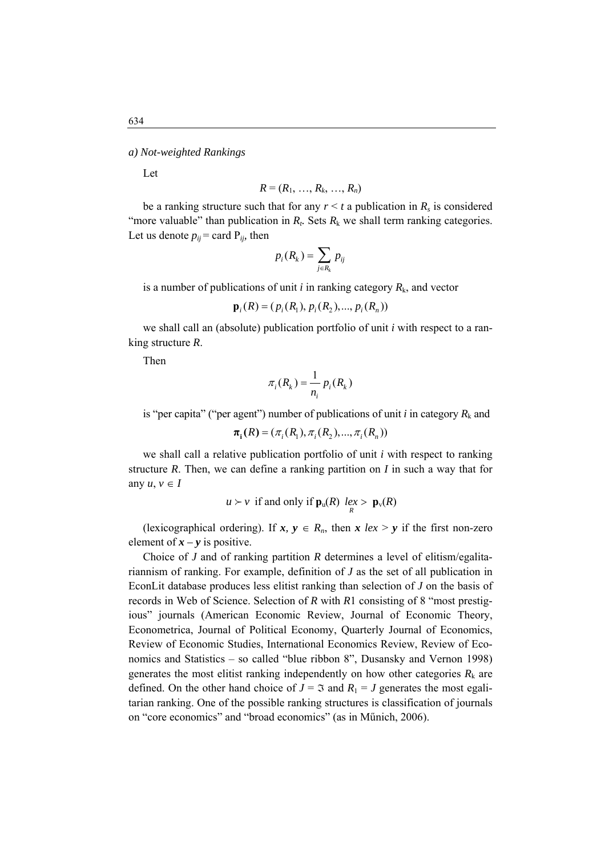Let

$$
R=(R_1,\ldots,R_k,\ldots,R_n)
$$

be a ranking structure such that for any  $r \le t$  a publication in  $R_s$  is considered "more valuable" than publication in  $R_t$ . Sets  $R_k$  we shall term ranking categories. Let us denote  $p_{ij}$  = card  $P_{ij}$ , then

$$
p_i(R_k) = \sum_{j \in R_k} p_{ij}
$$

is a number of publications of unit  $i$  in ranking category  $R_k$ , and vector

$$
\mathbf{p}_i(R) = (p_i(R_1), p_i(R_2), ..., p_i(R_n))
$$

 we shall call an (absolute) publication portfolio of unit *i* with respect to a ranking structure *R*.

Then

$$
\pi_i(R_k) = \frac{1}{n_i} p_i(R_k)
$$

is "per capita" ("per agent") number of publications of unit  $i$  in category  $R_k$  and

$$
\pi_{i}(R) = (\pi_{i}(R_{1}), \pi_{i}(R_{2}), ..., \pi_{i}(R_{n}))
$$

 we shall call a relative publication portfolio of unit *i* with respect to ranking structure *R*. Then, we can define a ranking partition on *I* in such a way that for any  $u, v \in I$ 

$$
u > v
$$
 if and only if  $\mathbf{p}_u(R)$   $\underset{R}{\text{lex}} > \mathbf{p}_v(R)$ 

(lexicographical ordering). If  $x, y \in R_n$ , then  $x \text{ } lex > y$  if the first non-zero element of  $x - y$  is positive.

 Choice of *J* and of ranking partition *R* determines a level of elitism/egalitariannism of ranking. For example, definition of *J* as the set of all publication in EconLit database produces less elitist ranking than selection of *J* on the basis of records in Web of Science. Selection of *R* with *R*1 consisting of 8 "most prestigious" journals (American Economic Review, Journal of Economic Theory, Econometrica, Journal of Political Economy, Quarterly Journal of Economics, Review of Economic Studies, International Economics Review, Review of Economics and Statistics – so called "blue ribbon 8", Dusansky and Vernon 1998) generates the most elitist ranking independently on how other categories  $R_k$  are defined. On the other hand choice of  $J = \Im$  and  $R_1 = J$  generates the most egalitarian ranking. One of the possible ranking structures is classification of journals on "core economics" and "broad economics" (as in Műnich, 2006).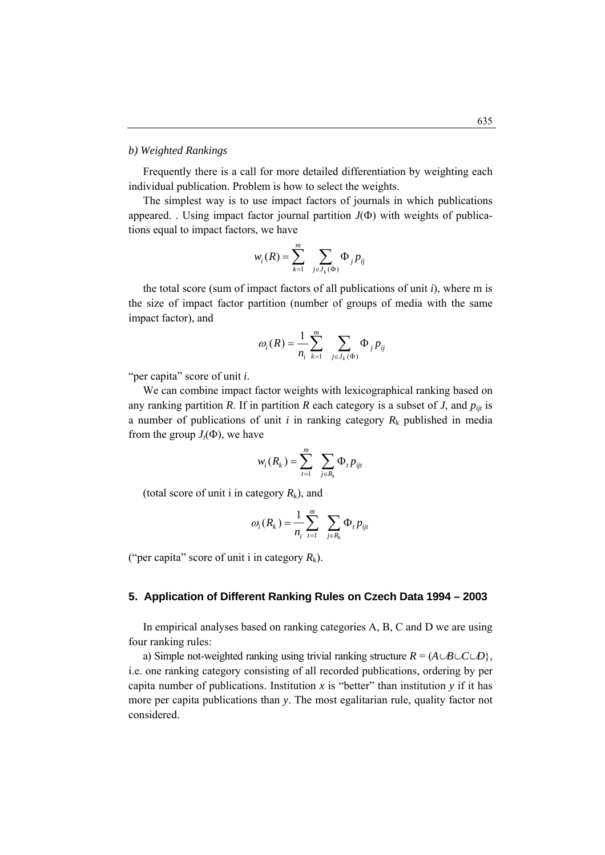### *b) Weighted Rankings*

 Frequently there is a call for more detailed differentiation by weighting each individual publication. Problem is how to select the weights.

appeared. . Using impact factor journal partition  $J(\Phi)$  with weights of publica- The simplest way is to use impact factors of journals in which publications tions equal to impact factors, we have

$$
w_i(R) = \sum_{k=1}^m \sum_{j \in J_k(\Phi)} \Phi_j p_{ij}
$$

 the total score (sum of impact factors of all publications of unit *i*), where m is the size of impact factor partition (number of groups of media with the same impact factor), and

$$
\omega_i(R) = \frac{1}{n_i} \sum_{k=1}^m \sum_{j \in J_k(\Phi)} \Phi_j p_{ij}
$$

"per capita" score of unit *i*.

We can combine impact factor weights with lexicographical ranking based on any ranking partition *R*. If in partition *R* each category is a subset of *J*, and  $p_{ijt}$  is a number of publications of unit  $i$  in ranking category  $R_k$  published in media from the group  $J_t(\Phi)$ , we have

$$
w_i(R_k) = \sum_{t=1}^m \sum_{j \in R_k} \Phi_t p_{ijt}
$$

(total score of unit i in category  $R_k$ ), and

$$
\omega_i(R_k) = \frac{1}{n_i} \sum_{t=1}^m \sum_{j \in R_k} \Phi_t p_{ijt}
$$

("per capita" score of unit i in category  $R_k$ ).

#### **. Application of Different Ranking Rules on Czech Data 1994 – 2003 5**

four ranking rules: In empirical analyses based on ranking categories A, B, C and D we are using

i.e. one ranking category consisting of all recorded publications, ordering by per a) Simple not-weighted ranking using trivial ranking structure  $R = (A \cup B \cup C \cup D)$ , capita number of publications. Institution  $x$  is "better" than institution  $y$  if it has more per capita publications than *y*. The most egalitarian rule, quality factor not considered.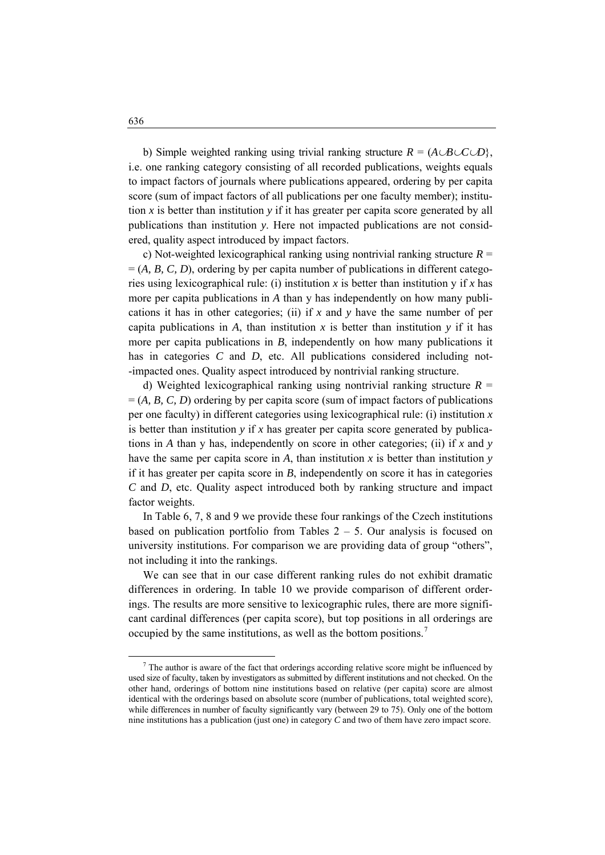b) Simple weighted ranking using trivial ranking structure  $R = (A \cup B \cup C \cup D)$ , i.e. one ranking category consisting of all recorded publications, weights equals to impact factors of journals where publications appeared, ordering by per capita score (sum of impact factors of all publications per one faculty member); institution  $x$  is better than institution  $y$  if it has greater per capita score generated by all publications than institution *y*. Here not impacted publications are not considered, quality aspect introduced by impact factors.

 $=(A, B, C, D)$ , ordering by per capita number of publications in different categoc) Not-weighted lexicographical ranking using nontrivial ranking structure  $R =$ ries using lexicographical rule: (i) institution *x* is better than institution *y* if *x* has more per capita publications in *A* than y has independently on how many publications it has in other categories; (ii) if *x* and *y* have the same number of per capita publications in *A*, than institution  $x$  is better than institution  $y$  if it has more per capita publications in *B*, independently on how many publications it has in categories *C* and *D*, etc. All publications considered including not--impacted ones. Quality aspect introduced by nontrivial ranking structure.

 $= (A, B, C, D)$  ordering by per capita score (sum of impact factors of publications d) Weighted lexicographical ranking using nontrivial ranking structure  $R =$ per one faculty) in different categories using lexicographical rule: (i) institution *x* is better than institution *y* if *x* has greater per capita score generated by publications in *A* than y has, independently on score in other categories; (ii) if *x* and *y* have the same per capita score in *A*, than institution *x* is better than institution *y* if it has greater per capita score in *B*, independently on score it has in categories *C* and *D*, etc. Quality aspect introduced both by ranking structure and impact factor weights.

based on publication portfolio from Tables  $2 - 5$ . Our analysis is focused on In Table 6, 7, 8 and 9 we provide these four rankings of the Czech institutions university institutions. For comparison we are providing data of group "others", not including it into the rankings.

differences in ordering. In table 10 we provide comparison of different order- We can see that in our case different ranking rules do not exhibit dramatic ings. The results are more sensitive to lexicographic rules, there are more significant cardinal differences (per capita score), but top positions in all orderings are occupied by the same institutions, as well as the bottom positions.<sup>[7](#page-13-0)</sup>

<span id="page-13-0"></span> $\frac{1}{7}$  $7$  The author is aware of the fact that orderings according relative score might be influenced by used size of faculty, taken by investigators as submitted by different institutions and not checked. On the other hand, orderings of bottom nine institutions based on relative (per capita) score are almost identical with the orderings based on absolute score (number of publications, total weighted score), while differences in number of faculty significantly vary (between 29 to 75). Only one of the bottom nine institutions has a publication (just one) in category *C* and two of them have zero impact score.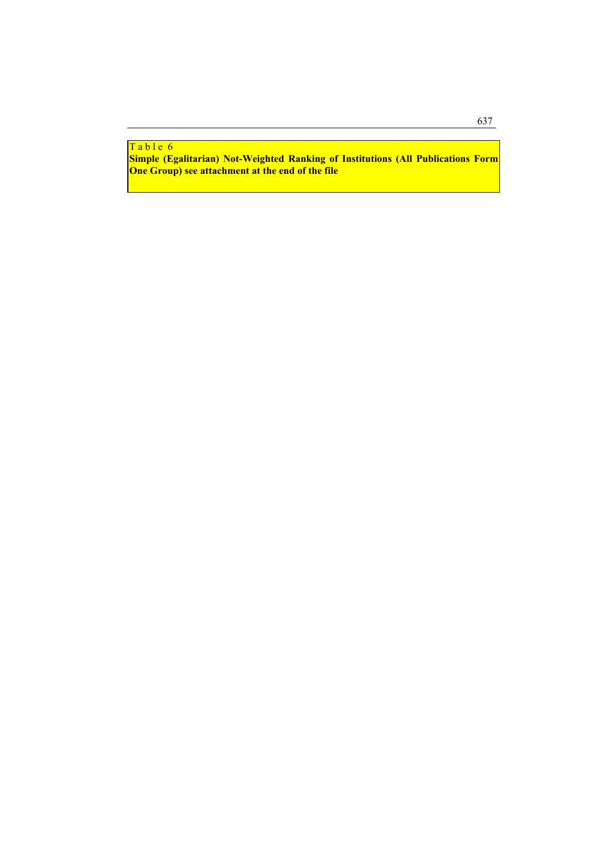# Table 6

**Simple (Egalitarian) Not-Weighted Ranking of Institutions (All Publications Form One Group) see attachment at the end of the file**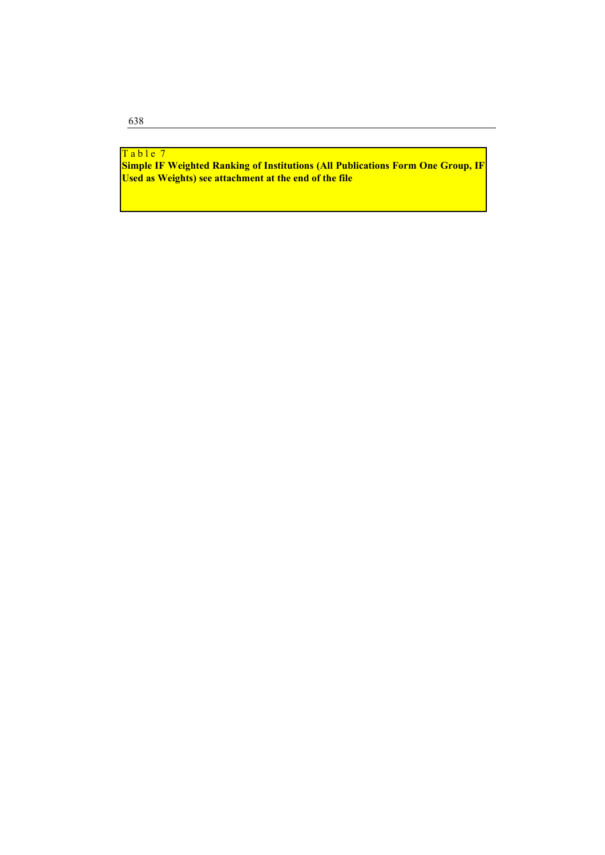# Table 7

**Simple IF Weighted Ranking of Institutions (All Publications Form One Group, IF Used as Weights) see attachment at the end of the file**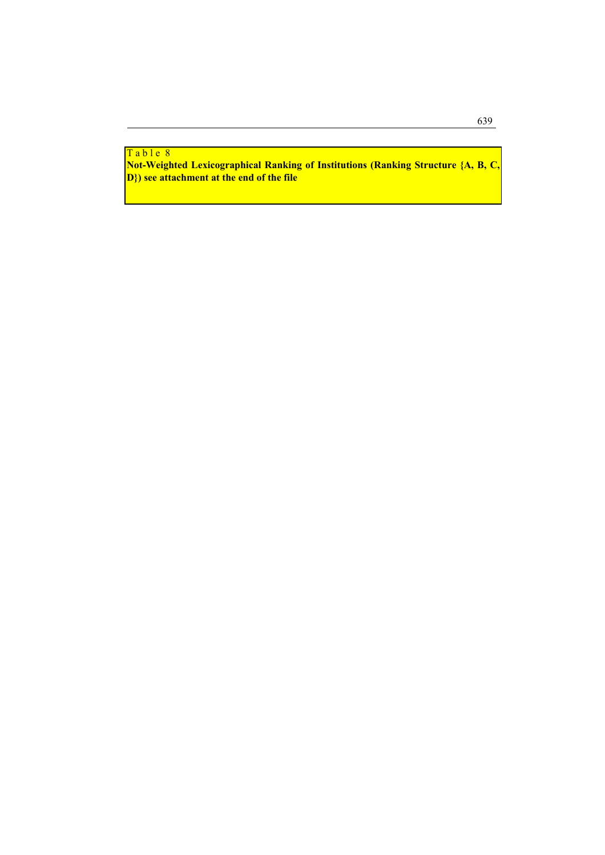<mark>Table 8</mark>

**Not-Weighted Lexicographical Ranking of Institutions (Ranking Structure {A, B, C, D}) see attachment at the end of the file**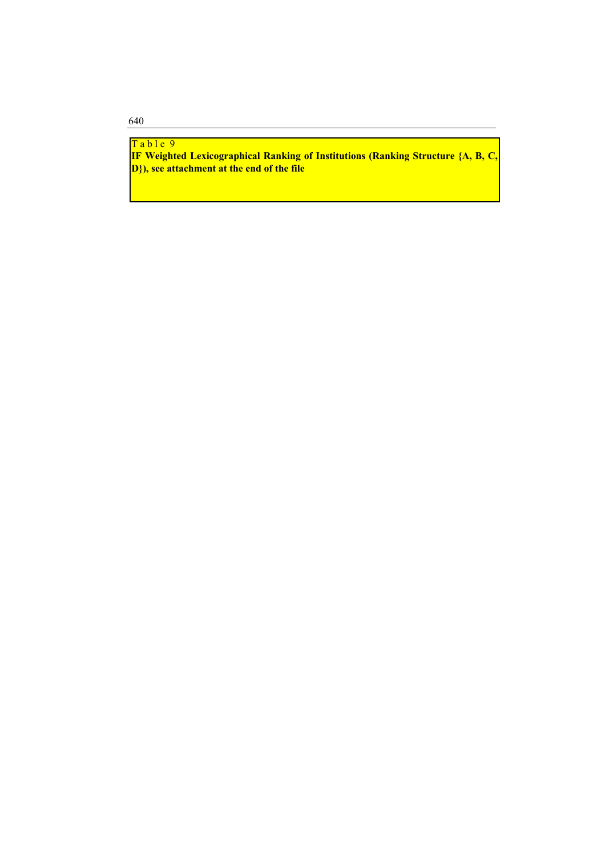Table 9

640

**IF Weighted Lexicographical Ranking of Institutions (Ranking Structure {A, B, C, D}), see attachment at the end of the file**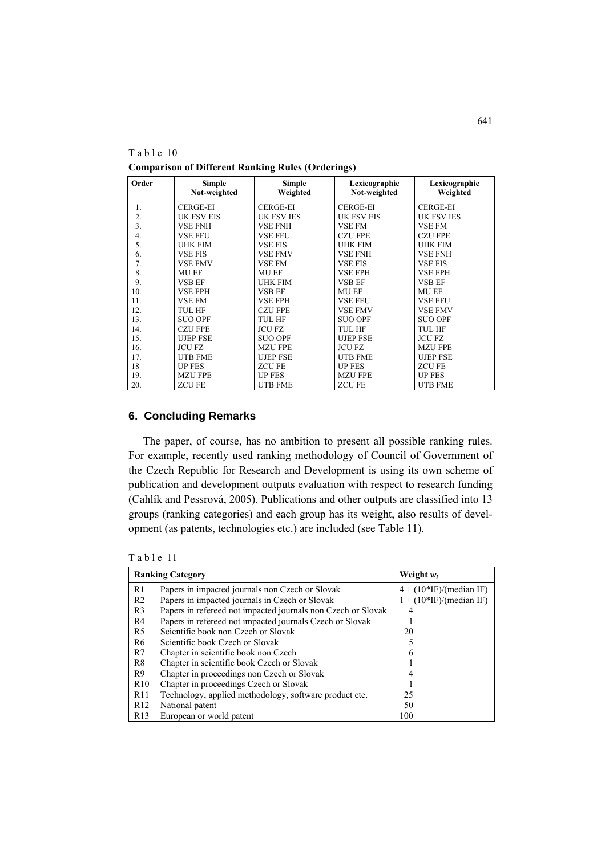**Comparison of Different Ranking Rules (Orderings)** 

| Order | <b>Simple</b><br>Not-weighted | Simple<br>Weighted | Lexicographic<br>Not-weighted | Lexicographic<br>Weighted |
|-------|-------------------------------|--------------------|-------------------------------|---------------------------|
| 1.    | <b>CERGE-EI</b>               | CERGE-EI           | <b>CERGE-EI</b>               | <b>CERGE-EI</b>           |
| 2.    | <b>UK FSV EIS</b>             | <b>UK FSV IES</b>  | <b>UK FSV EIS</b>             | <b>UK FSV IES</b>         |
| 3.    | <b>VSE FNH</b>                | VSE FNH            | <b>VSE FM</b>                 | <b>VSE FM</b>             |
| 4.    | <b>VSE FFU</b>                | <b>VSE FFU</b>     | <b>CZU FPE</b>                | <b>CZU FPE</b>            |
| 5.    | <b>UHK FIM</b>                | <b>VSE FIS</b>     | <b>UHK FIM</b>                | <b>UHK FIM</b>            |
| 6.    | <b>VSE FIS</b>                | <b>VSE FMV</b>     | <b>VSE FNH</b>                | <b>VSE FNH</b>            |
| 7.    | <b>VSE FMV</b>                | <b>VSE FM</b>      | <b>VSE FIS</b>                | <b>VSE FIS</b>            |
| 8.    | <b>MU EF</b>                  | <b>MU EF</b>       | <b>VSE FPH</b>                | <b>VSE FPH</b>            |
| 9.    | <b>VSB EF</b>                 | <b>UHK FIM</b>     | <b>VSB EF</b>                 | <b>VSB EF</b>             |
| 10.   | <b>VSE FPH</b>                | <b>VSB EF</b>      | <b>MU EF</b>                  | MU EF                     |
| 11.   | <b>VSE FM</b>                 | <b>VSE FPH</b>     | <b>VSE FFU</b>                | <b>VSE FFU</b>            |
| 12.   | TUL HF                        | CZU FPE            | <b>VSE FMV</b>                | <b>VSE FMV</b>            |
| 13.   | <b>SUO OPF</b>                | <b>TUL HF</b>      | <b>SUO OPF</b>                | <b>SUO OPF</b>            |
| 14.   | <b>CZU FPE</b>                | <b>JCU FZ</b>      | <b>TUL HF</b>                 | TUL HF                    |
| 15.   | <b>UJEP FSE</b>               | <b>SUO OPF</b>     | <b>UJEP FSE</b>               | <b>JCU FZ</b>             |
| 16.   | <b>JCU FZ</b>                 | <b>MZU FPE</b>     | <b>JCU FZ</b>                 | <b>MZU FPE</b>            |
| 17.   | <b>UTB FME</b>                | <b>UJEP FSE</b>    | <b>UTB FME</b>                | <b>UJEP FSE</b>           |
| 18    | <b>UP FES</b>                 | <b>ZCUFE</b>       | <b>UP FES</b>                 | <b>ZCUFE</b>              |
| 19.   | <b>MZU FPE</b>                | <b>UP FES</b>      | <b>MZU FPE</b>                | <b>UP FES</b>             |
| 20.   | <b>ZCUFE</b>                  | <b>UTB FME</b>     | <b>ZCUFE</b>                  | <b>UTB FME</b>            |

# **6. Concluding Remarks**

 The paper, of course, has no ambition to present all possible ranking rules. For example, recently used ranking methodology of Council of Government of the Czech Republic for Research and Development is using its own scheme of publication and development outputs evaluation with respect to research funding (Cahlík and Pessrová, 2005). Publications and other outputs are classified into 13 groups (ranking categories) and each group has its weight, also results of development (as patents, technologies etc.) are included (see Table 11).

Table 11

|                 | <b>Ranking Category</b>                                      | Weight $w_i$              |  |  |  |  |
|-----------------|--------------------------------------------------------------|---------------------------|--|--|--|--|
| R1              | Papers in impacted journals non Czech or Slovak              | $4 + (10*IF)/(median IF)$ |  |  |  |  |
| R <sub>2</sub>  | Papers in impacted journals in Czech or Slovak               | $1 + (10*IF)/(median IF)$ |  |  |  |  |
| R <sub>3</sub>  | Papers in refereed not impacted journals non Czech or Slovak | 4                         |  |  |  |  |
| R4              | Papers in refereed not impacted journals Czech or Slovak     |                           |  |  |  |  |
| R <sub>5</sub>  | Scientific book non Czech or Slovak                          | 20                        |  |  |  |  |
| R <sub>6</sub>  | Scientific book Czech or Slovak                              |                           |  |  |  |  |
| R7              | Chapter in scientific book non Czech                         | 6                         |  |  |  |  |
| R <sup>8</sup>  | Chapter in scientific book Czech or Slovak                   |                           |  |  |  |  |
| R9              | Chapter in proceedings non Czech or Slovak                   |                           |  |  |  |  |
| R <sub>10</sub> | Chapter in proceedings Czech or Slovak                       |                           |  |  |  |  |
| R <sub>11</sub> | Technology, applied methodology, software product etc.       | 25                        |  |  |  |  |
| R <sub>12</sub> | National patent                                              | 50                        |  |  |  |  |
| R13             | European or world patent                                     | 100                       |  |  |  |  |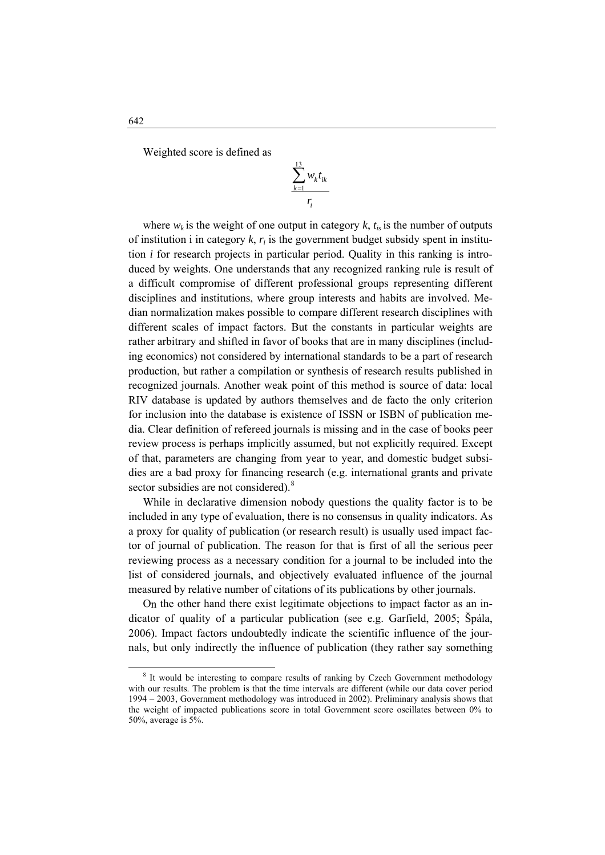Weighted score is defined as

$$
\frac{\sum_{k=1}^{13} w_k t_{ik}}{r_i}
$$

where  $w_k$  is the weight of one output in category  $k$ ,  $t_{is}$  is the number of outputs of institution i in category  $k$ ,  $r_i$  is the government budget subsidy spent in institution  $i$  for research projects in particular period. Quality in this ranking is introduced by weights. One understands that any recognized ranking rule is result of a difficult compromise of different professional groups representing different disciplines and institutions, where group interests and habits are involved. Median normalization makes possible to compare different research disciplines with different scales of impact factors. But the constants in particular weights are rather arbitrary and shifted in favor of books that are in many disciplines (including economics) not considered by international standards to be a part of research production, but rather a compilation or synthesis of research results published in recognized journals. Another weak point of this method is source of data: local RIV database is updated by authors themselves and de facto the only criterion for inclusion into the database is existence of ISSN or ISBN of publication media. Clear definition of refereed journals is missing and in the case of books peer review process is perhaps implicitly assumed, but not explicitly required. Except of that, parameters are changing from year to year, and domestic budget subsidies are a bad proxy for financing research (e.g. international grants and private sector subsidies are not considered).<sup>8</sup>

a proxy for quality of publication (or research result) is usually used impact factor of journal of publication. The reason for that is first of all the serious peer reviewing process as a necessary condition for a journal to be included into the list of considered journals, and objectively evaluated influence of the journal measured by relative number of citations of its publications by other journals. While in declarative dimension nobody questions the quality factor is to be included in any type of evaluation, there is no consensus in quality indicators. As

On the other hand there exist legitimate objections to impact factor as an indicator of quality of a particular publication (see e.g. Garfield, 2005; Špála, 2006). Impact factors undoubtedly indicate the scientific influence of the journals, but only indirectly the influence of publication (they rather say something

 $\overline{a}$ 

<sup>&</sup>lt;sup>8</sup> It would be interesting to compare results of ranking by Czech Government methodology with our results. The problem is that the time intervals are different (while our data cover period 1994 – 2003, Government methodology was introduced in 2002). Preliminary analysis shows that the weight of impacted publications score in total Government score oscillates between  $0\%$  to  $50\%$ , average is  $5\%$ .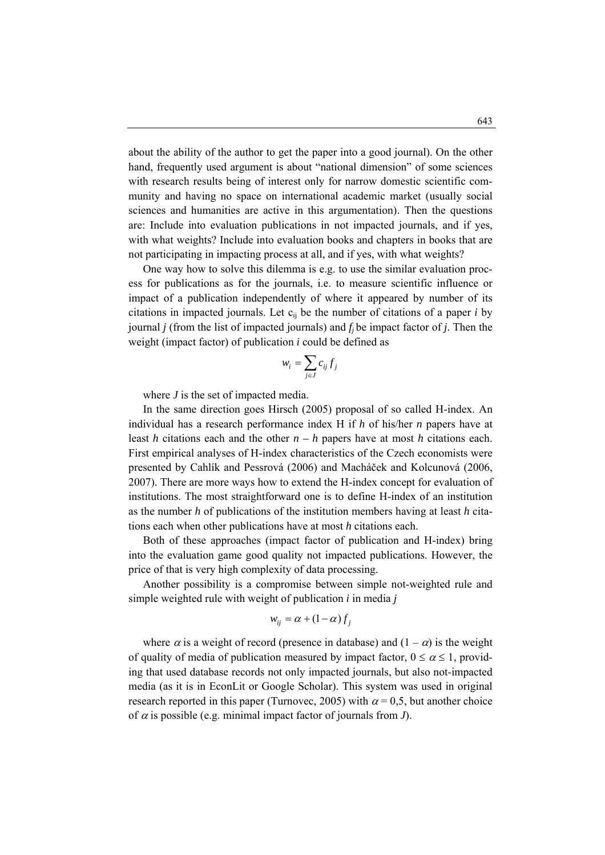about the ability of the author to get the paper into a good journal). On the other hand, frequently used argument is about "national dimension" of some sciences with research results being of interest only for narrow domestic scientific community and having no space on international academic market (usually social sciences and humanities are active in this argumentation). Then the questions are: Include into evaluation publications in not impacted journals, and if yes, with what weights? Include into evaluation books and chapters in books that are not participating in impacting process at all, and if yes, with what weights?

 One way how to solve this dilemma is e.g. to use the similar evaluation process for publications as for the journals, i.e. to measure scientific influence or impact of a publication independently of where it appeared by number of its citations in impacted journals. Let  $c_{ii}$  be the number of citations of a paper *i* by journal *j* (from the list of impacted journals) and  $f_i$  be impact factor of *j*. Then the weight (impact factor) of publication *i* could be defined as

$$
w_i = \sum_{j \in J} c_{ij} f_j
$$

where *J* is the set of impacted media.

 In the same direction goes Hirsch (2005) proposal of so called H-index. An individual has a research performance index H if *h* of his/her *n* papers have at least *h* citations each and the other  $n - h$  papers have at most *h* citations each. First empirical analyses of H-index characteristics of the Czech economists were presented by Cahlík and Pessrová (2006) and Macháček and Kolcunová (2006, 2007). There are more ways how to extend the H-index concept for evaluation of institutions. The most straightforward one is to define H-index of an institution as the number *h* of publications of the institution members having at least *h* citations each when other publications have at most *h* citations each.

 Both of these approaches (impact factor of publication and H-index) bring into the evaluation game good quality not impacted publications. However, the price of that is very high complexity of data processing.

 Another possibility is a compromise between simple not-weighted rule and simple weighted rule with weight of publication  $i$  in media  $j$ 

$$
w_{ij} = \alpha + (1 - \alpha) f_j
$$

where  $\alpha$  is a weight of record (presence in database) and  $(1 - \alpha)$  is the weight of quality of media of publication measured by impact factor,  $0 \le \alpha \le 1$ , providing that used database records not only impacted journals, but also not-impacted media (as it is in EconLit or Google Scholar). This system was used in original research reported in this paper (Turnovec, 2005) with  $\alpha = 0.5$ , but another choice of  $\alpha$  is possible (e.g. minimal impact factor of journals from  $J$ ).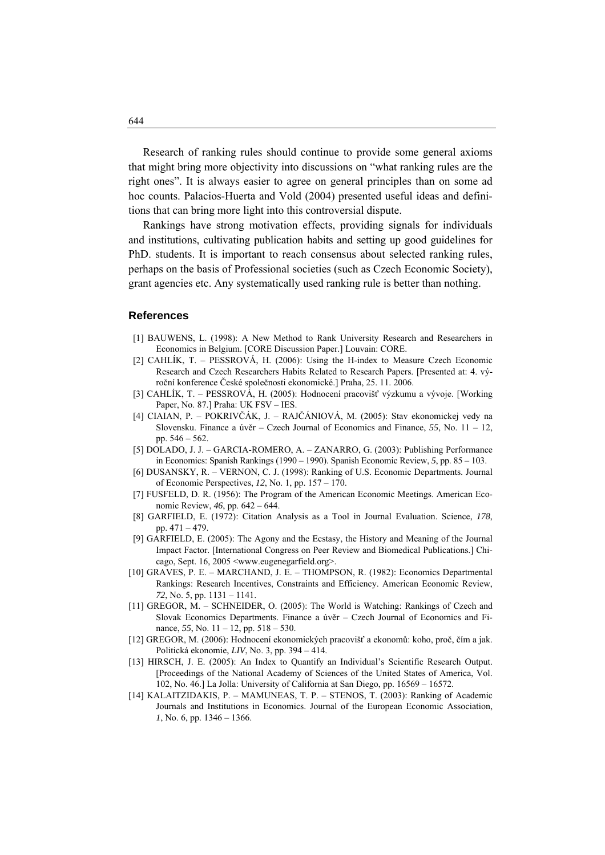Research of ranking rules should continue to provide some general axioms that might bring more objectivity into discussions on "what ranking rules are the right ones". It is always easier to agree on general principles than on some ad hoc counts. Palacios-Huerta and Vold (2004) presented useful ideas and definitions that can bring more light into this controversial dispute.

 Rankings have strong motivation effects, providing signals for individuals and institutions, cultivating publication habits and setting up good guidelines for PhD. students. It is important to reach consensus about selected ranking rules, perhaps on the basis of Professional societies (such as Czech Economic Society), grant agencies etc. Any systematically used ranking rule is better than nothing.

### **References**

- [1] BAUWENS, L. (1998): A New Method to Rank University Research and Researchers in Economics in Belgium. [CORE Discussion Paper.] Louvain: CORE.
- [2] CAHLÍK, T. PESSROVÁ, H. (2006): Using the H-index to Measure Czech Economic Research and Czech Researchers Habits Related to Research Papers. [Presented at: 4. výroční konference České společnosti ekonomické.] Praha, 25. 11. 2006.
- [3] CAHLÍK, T. PESSROVÁ, H. (2005): Hodnocení pracovišť výzkumu a vývoje. [Working Paper, No. 87.] Praha: UK FSV – IES.
- [4] CIAIAN, P. POKRIVČÁK, J. RAJČÁNIOVÁ, M. (2005): Stav ekonomickej vedy na Slovensku. Finance a úvěr – Czech Journal of Economics and Finance, *55*, No. 11 – 12, pp. 546 – 562.
- [5] DOLADO, J. J. GARCIA-ROMERO, A. ZANARRO, G. (2003): Publishing Performance in Economics: Spanish Rankings (1990 – 1990). Spanish Economic Review, *5*, pp. 85 – 103.
- [6] DUSANSKY, R. VERNON, C. J. (1998): Ranking of U.S. Economic Departments. Journal of Economic Perspectives, *12*, No. 1, pp. 157 – 170.
- [7] FUSFELD, D. R. (1956): The Program of the American Economic Meetings. American Economic Review, *46*, pp. 642 – 644.
- [8] GARFIELD, E. (1972): Citation Analysis as a Tool in Journal Evaluation. Science, *178*, pp. 471 – 479.
- [9] GARFIELD, E. (2005): The Agony and the Ecstasy, the History and Meaning of the Journal Impact Factor. [International Congress on Peer Review and Biomedical Publications.] Chicago, Sept. 16, 2005 <www.eugenegarfield.org>.
- [10] GRAVES, P. E. MARCHAND, J. E. THOMPSON, R. (1982): Economics Departmental Rankings: Research Incentives, Constraints and Efficiency. American Economic Review, *72*, No. 5, pp. 1131 – 1141.
- [11] GREGOR, M. SCHNEIDER, O. (2005): The World is Watching: Rankings of Czech and Slovak Economics Departments. Finance a úvěr – Czech Journal of Economics and Finance, *55*, No. 11 – 12, pp. 518 – 530.
- [12] GREGOR, M. (2006): Hodnocení ekonomických pracovišť a ekonomů: koho, proč, čím a jak. Politická ekonomie, *LIV*, No. 3, pp. 394 – 414.
- [13] HIRSCH, J. E. (2005): An Index to Quantify an Individual's Scientific Research Output. [Proceedings of the National Academy of Sciences of the United States of America, Vol. 102, No. 46.] La Jolla: University of California at San Diego, pp. 16569 – 16572.
- [14] KALAITZIDAKIS, P. MAMUNEAS, T. P. STENOS, T. (2003): Ranking of Academic Journals and Institutions in Economics. Journal of the European Economic Association, *1*, No. 6, pp. 1346 – 1366.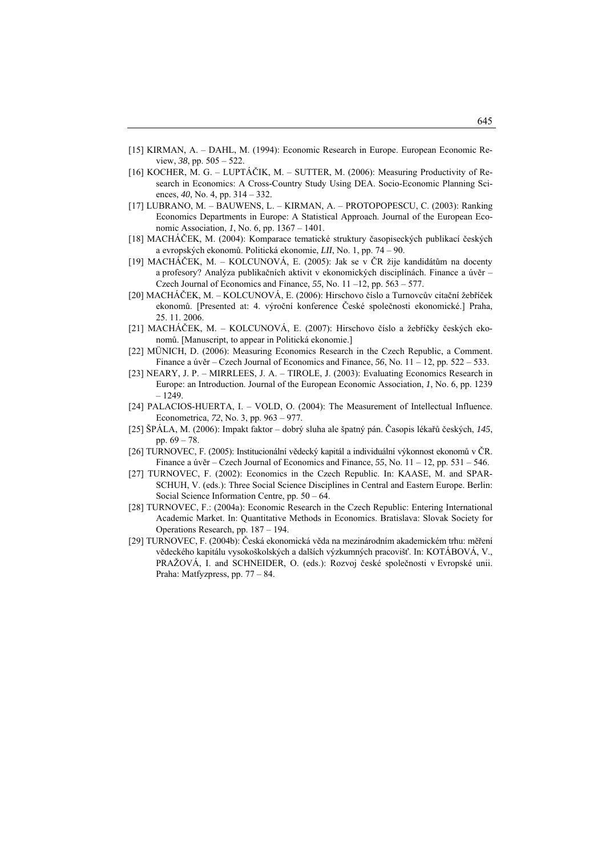- [15] KIRMAN, A. DAHL, M. (1994): Economic Research in Europe. European Economic Review, *38*, pp. 505 – 522.
- [16] KOCHER, M. G. LUPTÁČIK, M. SUTTER, M. (2006): Measuring Productivity of Research in Economics: A Cross-Country Study Using DEA. Socio-Economic Planning Sciences, *40*, No. 4, pp. 314 – 332.
- [17] LUBRANO, M. BAUWENS, L. KIRMAN, A. PROTOPOPESCU, C. (2003): Ranking Economics Departments in Europe: A Statistical Approach. Journa l of the European Economic Association, *1*, No. 6, pp. 1367 – 1401.
- [18] MACHÁČEK, M. (2004): Komparace tematické struktury časopiseckých publikací českých a evropských ekonomů. Politická ekonomie, *LII*, No. 1, pp. 74 – 90.
- [19] MACHÁČEK, M. KOLCUNOVÁ, E. (2005): Jak se v ČR žije kandidátům na docenty a profesory? Analýza publikačních aktivit v ekonomických disciplínách. Finance a úvěr – Czech Journal of Economics and Finance, *55*, No. 11 –12, pp. 563 – 577.
- [20] MACHÁČEK, M. KOLCUNOVÁ, E. (2006): Hirschovo číslo a Turnovcův citační žebříček ekonomů. [Presented at: 4. výroční konference České společnosti ekonomické.] Praha, 6. 25. 11. 200
- [21] MACHÁČEK, M. KOLCUNOVÁ, E. (2007): Hirschovo číslo a žebříčky českých ekonomů. [Manuscript, to appear in Politická ekonomie.]
- [22] MÜNICH, D. (2006): Measuring Economics Research in the Czech Republic, a Comment. Finance a úvěr – Czech Journal of Economics and Finance, *56*, No. 11 – 12, pp. 522 – 533.
- [23] N EARY, J. P. MIRRLEES, J. A. TIROLE, J. (2003): Evaluating Economics Research in Europe: an Introduction. Journal of the European Economic Association, 1, No. 6, pp. 1239 – 1249.
- [24] PALACIOS-HUERTA, I. VOLD, O. (2004): The Measurement of Intellectual Influence. Econometrica, *72*, No. 3, pp. 963 – 977.
- [25] ŠP ÁLA, M. (2006): Impakt faktor dobrý sluha ale špatný pán. Časopis lékařů českých, *145*, pp. 69 – 78.
- [26] TURNOVEC, F. (2005): Institucionální vědecký kapitál a individuální výkonnost ekonomů v ČR. Finance a úvěr – Czech Journal of Economics and Finance, *55*, No. 11 – 12, pp. 531 – 546.
- SCHUH, V. (eds.): Three Social Science Disciplines in Central and Eastern Europe. Berlin: [27] TURNOVEC, F. (2002): Economics in the Czech Republic. In: KAASE, M. and SPAR-Social Science Information Centre, pp. 50 – 64.
- [28] TURNOVEC, F.: (2004a): Economic Research in the Czech Republic: Entering International Operations Research, pp.  $187 - 194$ . Academic Market. In: Quantitative Methods in Economics. Bratislava: Slovak Society for
- PRAŽOVÁ, I. and SCHNEIDER, O. (eds.): Rozvoj české společnosti v Evropské unii. [29] TURNOVEC, F. (2004b): Česká ekonomická věda na mezinárodním akademickém trhu: měření vědeckého kapitálu vysokoškolských a dalších výzkumných pracovišť. In: KOTÁBOVÁ, V., Praha: Matfyzpress, pp. 77 – 84.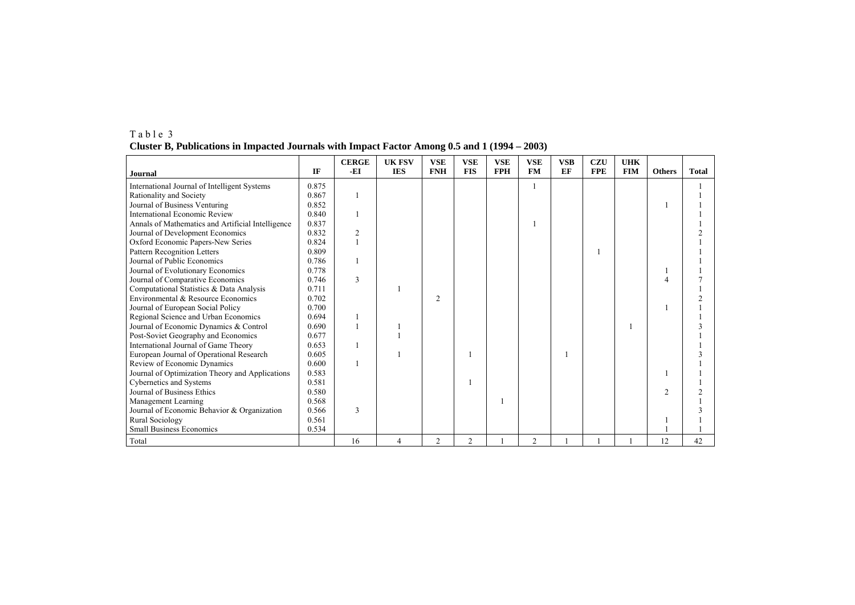|                                                   |       | <b>CERGE</b>   | <b>UK FSV</b>            | <b>VSE</b>     | <b>VSE</b>     | <b>VSE</b> | <b>VSE</b> | <b>VSB</b> | <b>CZU</b> | <b>UHK</b> |               |              |
|---------------------------------------------------|-------|----------------|--------------------------|----------------|----------------|------------|------------|------------|------------|------------|---------------|--------------|
| Journal                                           | IF    | -EI            | <b>IES</b>               | <b>FNH</b>     | <b>FIS</b>     | <b>FPH</b> | <b>FM</b>  | EF         | <b>FPE</b> | <b>FIM</b> | <b>Others</b> | <b>Total</b> |
| International Journal of Intelligent Systems      | 0.875 |                |                          |                |                |            |            |            |            |            |               |              |
| Rationality and Society                           | 0.867 |                |                          |                |                |            |            |            |            |            |               |              |
| Journal of Business Venturing                     | 0.852 |                |                          |                |                |            |            |            |            |            |               |              |
| International Economic Review                     | 0.840 |                |                          |                |                |            |            |            |            |            |               |              |
| Annals of Mathematics and Artificial Intelligence | 0.837 |                |                          |                |                |            |            |            |            |            |               |              |
| Journal of Development Economics                  | 0.832 | $\overline{c}$ |                          |                |                |            |            |            |            |            |               |              |
| Oxford Economic Papers-New Series                 | 0.824 |                |                          |                |                |            |            |            |            |            |               |              |
| Pattern Recognition Letters                       | 0.809 |                |                          |                |                |            |            |            |            |            |               |              |
| Journal of Public Economics                       | 0.786 |                |                          |                |                |            |            |            |            |            |               |              |
| Journal of Evolutionary Economics                 | 0.778 |                |                          |                |                |            |            |            |            |            |               |              |
| Journal of Comparative Economics                  | 0.746 | 3              |                          |                |                |            |            |            |            |            |               |              |
| Computational Statistics & Data Analysis          | 0.711 |                |                          |                |                |            |            |            |            |            |               |              |
| Environmental & Resource Economics                | 0.702 |                |                          | $\overline{2}$ |                |            |            |            |            |            |               |              |
| Journal of European Social Policy                 | 0.700 |                |                          |                |                |            |            |            |            |            |               |              |
| Regional Science and Urban Economics              | 0.694 |                |                          |                |                |            |            |            |            |            |               |              |
| Journal of Economic Dynamics & Control            | 0.690 |                |                          |                |                |            |            |            |            |            |               |              |
| Post-Soviet Geography and Economics               | 0.677 |                |                          |                |                |            |            |            |            |            |               |              |
| International Journal of Game Theory              | 0.653 |                |                          |                |                |            |            |            |            |            |               |              |
| European Journal of Operational Research          | 0.605 |                |                          |                |                |            |            |            |            |            |               |              |
| Review of Economic Dynamics                       | 0.600 |                |                          |                |                |            |            |            |            |            |               |              |
| Journal of Optimization Theory and Applications   | 0.583 |                |                          |                |                |            |            |            |            |            |               |              |
| Cybernetics and Systems                           | 0.581 |                |                          |                |                |            |            |            |            |            |               |              |
| Journal of Business Ethics                        | 0.580 |                |                          |                |                |            |            |            |            |            | $\mathcal{D}$ |              |
| Management Learning                               | 0.568 |                |                          |                |                |            |            |            |            |            |               |              |
| Journal of Economic Behavior & Organization       | 0.566 | 3              |                          |                |                |            |            |            |            |            |               |              |
| Rural Sociology                                   | 0.561 |                |                          |                |                |            |            |            |            |            |               |              |
| Small Business Economics                          | 0.534 |                |                          |                |                |            |            |            |            |            |               |              |
| Total                                             |       | 16             | $\overline{\mathcal{A}}$ | $\overline{2}$ | $\overline{2}$ |            | 2          |            |            |            | 12            | 42           |

T a b l e 3 **Cluster B, Publications in Impacted Journals with Impact Factor Among 0.5 and 1 (1994 – 2003)**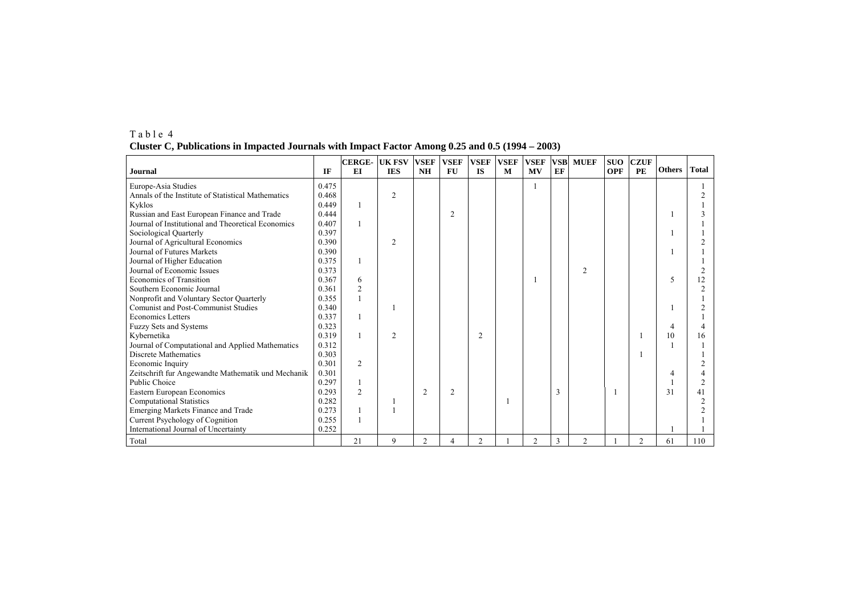| Journal                                                                  | IF             | <b>CERGE- UK FSV</b><br>EI | <b>IES</b>     | <b>VSEF</b><br><b>NH</b> | <b>VSEF</b><br><b>FU</b> | <b>VSEF</b><br><b>IS</b> | <b>VSEF</b><br>M | <b>VSEF</b><br><b>MV</b> | <b>VSB</b><br>EF | <b>MUEF</b>    | <b>SUO</b><br><b>OPF</b> | <b>CZUF</b><br>PE | <b>Others</b>            | <b>Total</b> |
|--------------------------------------------------------------------------|----------------|----------------------------|----------------|--------------------------|--------------------------|--------------------------|------------------|--------------------------|------------------|----------------|--------------------------|-------------------|--------------------------|--------------|
| Europe-Asia Studies                                                      | 0.475          |                            |                |                          |                          |                          |                  |                          |                  |                |                          |                   |                          |              |
| Annals of the Institute of Statistical Mathematics                       | 0.468          |                            | $\overline{2}$ |                          |                          |                          |                  |                          |                  |                |                          |                   |                          |              |
| Kyklos                                                                   | 0.449          |                            |                |                          |                          |                          |                  |                          |                  |                |                          |                   |                          |              |
| Russian and East European Finance and Trade                              | 0.444          |                            |                |                          | $\overline{2}$           |                          |                  |                          |                  |                |                          |                   |                          |              |
| Journal of Institutional and Theoretical Economics                       | 0.407          |                            |                |                          |                          |                          |                  |                          |                  |                |                          |                   |                          |              |
| Sociological Quarterly                                                   | 0.397          |                            |                |                          |                          |                          |                  |                          |                  |                |                          |                   |                          |              |
| Journal of Agricultural Economics                                        | 0.390          |                            | $\overline{c}$ |                          |                          |                          |                  |                          |                  |                |                          |                   |                          |              |
| Journal of Futures Markets                                               | 0.390          |                            |                |                          |                          |                          |                  |                          |                  |                |                          |                   |                          |              |
| Journal of Higher Education                                              | 0.375          |                            |                |                          |                          |                          |                  |                          |                  |                |                          |                   |                          |              |
| Journal of Economic Issues                                               | 0.373          |                            |                |                          |                          |                          |                  |                          |                  | $\mathfrak{D}$ |                          |                   |                          |              |
| Economics of Transition                                                  | 0.367          | 6                          |                |                          |                          |                          |                  |                          |                  |                |                          |                   | $\overline{\phantom{0}}$ |              |
| Southern Economic Journal                                                | 0.361          | $\overline{c}$             |                |                          |                          |                          |                  |                          |                  |                |                          |                   |                          |              |
| Nonprofit and Voluntary Sector Quarterly                                 | 0.355          |                            |                |                          |                          |                          |                  |                          |                  |                |                          |                   |                          |              |
| Comunist and Post-Communist Studies                                      | 0.340          |                            |                |                          |                          |                          |                  |                          |                  |                |                          |                   |                          |              |
|                                                                          |                |                            |                |                          |                          |                          |                  |                          |                  |                |                          |                   |                          |              |
| <b>Economics Letters</b>                                                 |                |                            |                |                          |                          |                          |                  |                          |                  |                |                          |                   |                          |              |
| Fuzzy Sets and Systems<br>Kybernetika                                    | 0.323<br>0.319 |                            | $\overline{2}$ |                          |                          | $\overline{c}$           |                  |                          |                  |                |                          |                   | 10                       |              |
|                                                                          | 0.312          |                            |                |                          |                          |                          |                  |                          |                  |                |                          |                   |                          |              |
| Journal of Computational and Applied Mathematics<br>Discrete Mathematics | 0.303          |                            |                |                          |                          |                          |                  |                          |                  |                |                          |                   |                          |              |
|                                                                          | 0.301          | 2                          |                |                          |                          |                          |                  |                          |                  |                |                          |                   |                          |              |
| Economic Inquiry                                                         | 0.301          |                            |                |                          |                          |                          |                  |                          |                  |                |                          |                   |                          |              |
| Zeitschrift fur Angewandte Mathematik und Mechanik<br>Public Choice      | 0.297          |                            |                |                          |                          |                          |                  |                          |                  |                |                          |                   |                          |              |
|                                                                          | 0.293          | $\overline{c}$             |                | $\overline{2}$           | $\overline{2}$           |                          |                  |                          | $\mathbf{3}$     |                |                          |                   | 31                       |              |
| Eastern European Economics                                               | 0.282          |                            |                |                          |                          |                          |                  |                          |                  |                |                          |                   |                          |              |
| <b>Computational Statistics</b>                                          |                |                            |                |                          |                          |                          |                  |                          |                  |                |                          |                   |                          |              |
| Emerging Markets Finance and Trade                                       | 0.273          |                            |                |                          |                          |                          |                  |                          |                  |                |                          |                   |                          |              |
| Current Psychology of Cognition                                          | 0.255          |                            |                |                          |                          |                          |                  |                          |                  |                |                          |                   |                          |              |
| International Journal of Uncertainty                                     | 0.252          |                            |                |                          |                          |                          |                  |                          |                  |                |                          |                   |                          |              |
| Total                                                                    |                | 21                         | 9              | $\overline{2}$           | 4                        | $\overline{c}$           |                  | 2                        |                  | $\overline{2}$ |                          | $\overline{c}$    | 61                       | 110          |

T a b l e 4 **Cluster C, Publications in Impacted Journals with Impact Factor Among 0.25 and 0.5 (1994 – 2003)**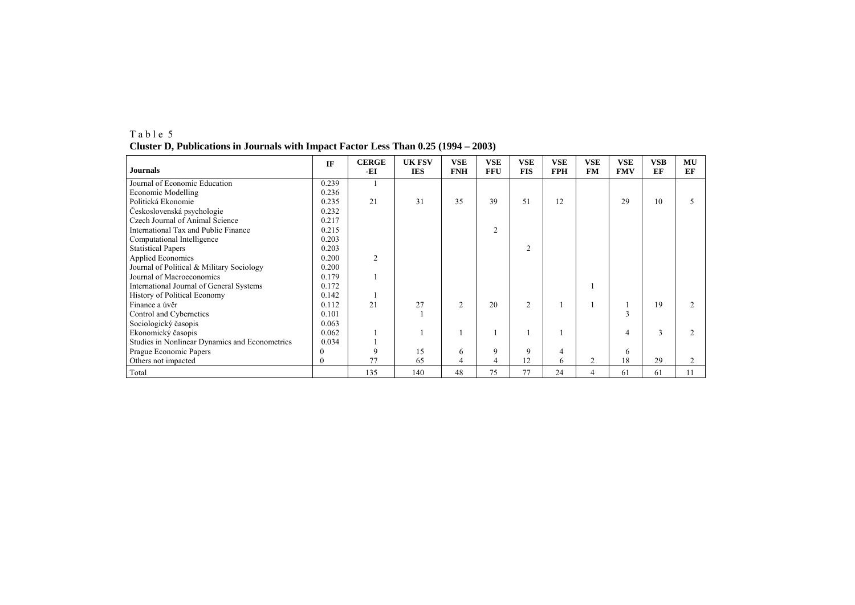| <b>Journals</b>                                | IF    | <b>CERGE</b><br>-EI | <b>UK FSV</b><br><b>IES</b> | <b>VSE</b><br><b>FNH</b> | <b>VSE</b><br><b>FFU</b> | <b>VSE</b><br><b>FIS</b> | <b>VSE</b><br><b>FPH</b> | <b>VSE</b><br><b>FM</b> | <b>VSE</b><br><b>FMV</b> | <b>VSB</b><br>EF | MU<br>EF |
|------------------------------------------------|-------|---------------------|-----------------------------|--------------------------|--------------------------|--------------------------|--------------------------|-------------------------|--------------------------|------------------|----------|
| Journal of Economic Education                  | 0.239 |                     |                             |                          |                          |                          |                          |                         |                          |                  |          |
| <b>Economic Modelling</b>                      | 0.236 |                     |                             |                          |                          |                          |                          |                         |                          |                  |          |
| Politická Ekonomie                             | 0.235 | 21                  | 31                          | 35                       | 39                       | 51                       | 12                       |                         | 29                       | 10               |          |
| Československá psychologie                     | 0.232 |                     |                             |                          |                          |                          |                          |                         |                          |                  |          |
| Czech Journal of Animal Science                | 0.217 |                     |                             |                          |                          |                          |                          |                         |                          |                  |          |
| International Tax and Public Finance           | 0.215 |                     |                             |                          | $\overline{2}$           |                          |                          |                         |                          |                  |          |
| Computational Intelligence                     | 0.203 |                     |                             |                          |                          |                          |                          |                         |                          |                  |          |
| <b>Statistical Papers</b>                      | 0.203 |                     |                             |                          |                          | 2                        |                          |                         |                          |                  |          |
| <b>Applied Economics</b>                       | 0.200 | 2                   |                             |                          |                          |                          |                          |                         |                          |                  |          |
| Journal of Political & Military Sociology      | 0.200 |                     |                             |                          |                          |                          |                          |                         |                          |                  |          |
| Journal of Macroeconomics                      | 0.179 |                     |                             |                          |                          |                          |                          |                         |                          |                  |          |
| International Journal of General Systems       | 0.172 |                     |                             |                          |                          |                          |                          |                         |                          |                  |          |
| History of Political Economy                   | 0.142 |                     |                             |                          |                          |                          |                          |                         |                          |                  |          |
| Finance a úvěr                                 | 0.112 | 21                  | 27                          | $\overline{2}$           | 20                       | $\overline{c}$           |                          |                         |                          | 19               |          |
| Control and Cybernetics                        | 0.101 |                     |                             |                          |                          |                          |                          |                         | $\overline{3}$           |                  |          |
| Sociologický časopis                           | 0.063 |                     |                             |                          |                          |                          |                          |                         |                          |                  |          |
| Ekonomický časopis                             | 0.062 |                     |                             |                          |                          |                          |                          |                         | 4                        | 3                |          |
| Studies in Nonlinear Dynamics and Econometrics | 0.034 |                     |                             |                          |                          |                          |                          |                         |                          |                  |          |
| Prague Economic Papers                         |       | 9                   | 15                          | 6                        | 9                        | 9                        | 4                        |                         | 6                        |                  |          |
| Others not impacted                            |       | 77                  | 65                          | 4                        | 4                        | 12                       | 6                        | $\overline{2}$          | 18                       | 29               |          |
| Total                                          |       | 135                 | 140                         | 48                       | 75                       | 77                       | 24                       | $\overline{4}$          | 61                       | 61               | 11       |

T a b l e 5 **Cluster D, Publications in Journals with Impact Factor Less Than 0.25 (1994 – 2003)**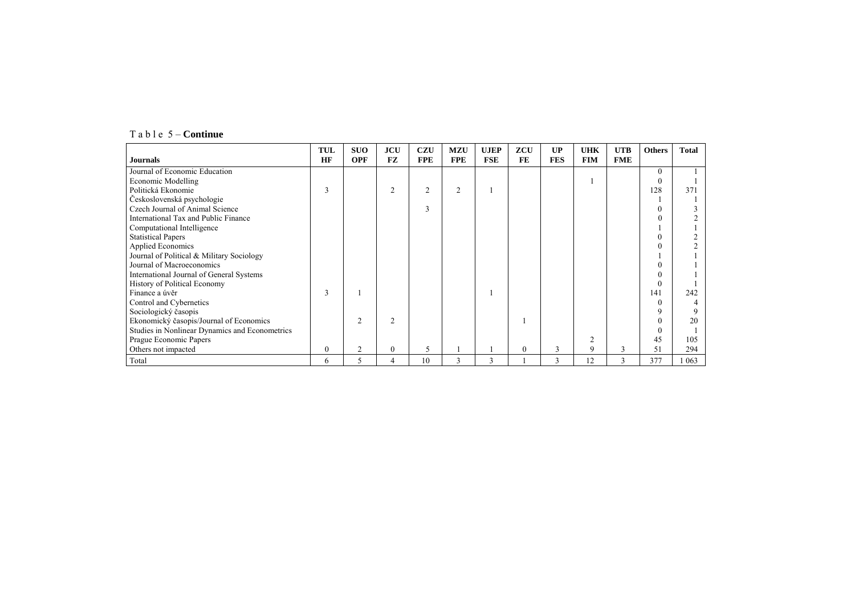| $T$ a b l e 5 – Continue |  |  |  |
|--------------------------|--|--|--|
|--------------------------|--|--|--|

|                                                | TUL      | <b>SUO</b>     | <b>JCU</b>     | <b>CZU</b>     | <b>MZU</b>     | <b>UJEP</b> | ZCU      | UP         | <b>UHK</b> | <b>UTB</b> | <b>Others</b> | <b>Total</b> |
|------------------------------------------------|----------|----------------|----------------|----------------|----------------|-------------|----------|------------|------------|------------|---------------|--------------|
| <b>Journals</b>                                | HF       | <b>OPF</b>     | <b>FZ</b>      | <b>FPE</b>     | <b>FPE</b>     | <b>FSE</b>  | FE       | <b>FES</b> | <b>FIM</b> | <b>FME</b> |               |              |
| Journal of Economic Education                  |          |                |                |                |                |             |          |            |            |            | $\Omega$      |              |
| <b>Economic Modelling</b>                      |          |                |                |                |                |             |          |            |            |            | $\theta$      |              |
| Politická Ekonomie                             | 3        |                | $\overline{2}$ | $\overline{2}$ | $\overline{2}$ |             |          |            |            |            | 128           | 371          |
| Československá psychologie                     |          |                |                |                |                |             |          |            |            |            |               |              |
| Czech Journal of Animal Science                |          |                |                | 3              |                |             |          |            |            |            |               |              |
| International Tax and Public Finance           |          |                |                |                |                |             |          |            |            |            |               |              |
| Computational Intelligence                     |          |                |                |                |                |             |          |            |            |            |               |              |
| <b>Statistical Papers</b>                      |          |                |                |                |                |             |          |            |            |            |               |              |
| <b>Applied Economics</b>                       |          |                |                |                |                |             |          |            |            |            |               |              |
| Journal of Political & Military Sociology      |          |                |                |                |                |             |          |            |            |            |               |              |
| Journal of Macroeconomics                      |          |                |                |                |                |             |          |            |            |            |               |              |
| International Journal of General Systems       |          |                |                |                |                |             |          |            |            |            |               |              |
| <b>History of Political Economy</b>            |          |                |                |                |                |             |          |            |            |            | $\theta$      |              |
| Finance a úvěr                                 | 3        |                |                |                |                |             |          |            |            |            | 141           | 242          |
| Control and Cybernetics                        |          |                |                |                |                |             |          |            |            |            | $\Omega$      |              |
| Sociologický časopis                           |          |                |                |                |                |             |          |            |            |            | q             |              |
| Ekonomický časopis/Journal of Economics        |          | $\mathfrak{D}$ | $\overline{2}$ |                |                |             |          |            |            |            |               | 20           |
| Studies in Nonlinear Dynamics and Econometrics |          |                |                |                |                |             |          |            |            |            |               |              |
| Prague Economic Papers                         |          |                |                |                |                |             |          |            | 2          |            | 45            | 105          |
| Others not impacted                            | $\Omega$ | 2              | $\mathbf{0}$   | 5              |                |             | $\Omega$ | 3          | 9          | 3          | 51            | 294          |
| Total                                          | 6        | 5              | 4              | 10             | 3              | 3           |          | 3          | 12         | 3          | 377           | 063          |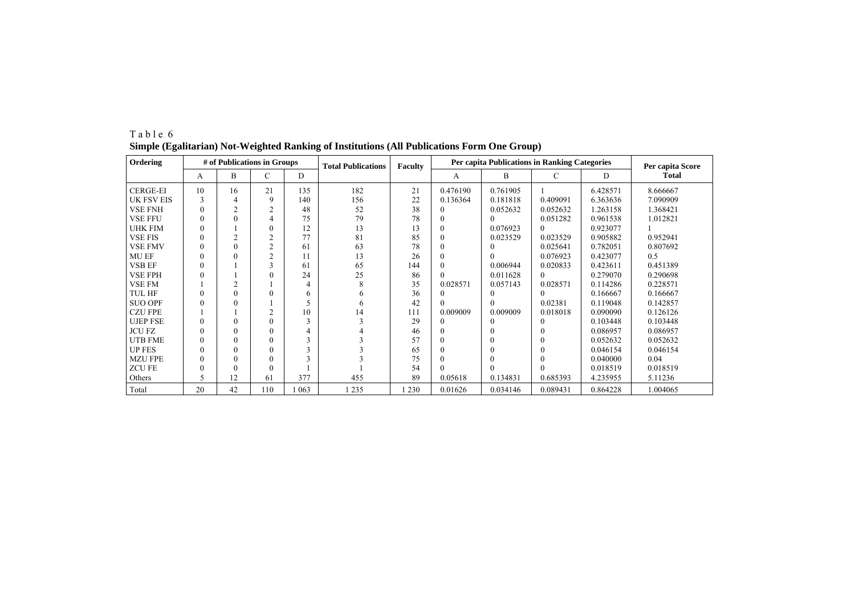| Ordering          |          | # of Publications in Groups |                |     | <b>Total Publications</b> | Faculty | <b>Per capita Publications in Ranking Categories</b> | Per capita Score |          |          |          |
|-------------------|----------|-----------------------------|----------------|-----|---------------------------|---------|------------------------------------------------------|------------------|----------|----------|----------|
|                   | A        | <sub>B</sub>                | C              | D   |                           |         | A                                                    | B                | C        | D        | Total    |
| <b>CERGE-EI</b>   | 10       | 16                          | 21             | 135 | 182                       | 21      | 0.476190                                             | 0.761905         |          | 6.428571 | 8.666667 |
| <b>UK FSV EIS</b> | 3        | 4                           | 9              | 140 | 156                       | 22      | 0.136364                                             | 0.181818         | 0.409091 | 6.363636 | 7.090909 |
| <b>VSE FNH</b>    |          | $\overline{2}$              | $\overline{2}$ | 48  | 52                        | 38      | 0                                                    | 0.052632         | 0.052632 | 1.263158 | 1.368421 |
| <b>VSE FFU</b>    |          | $\theta$                    | 4              | 75  | 79                        | 78      | $\theta$                                             |                  | 0.051282 | 0.961538 | 1.012821 |
| <b>UHK FIM</b>    |          |                             | $\theta$       | 12  | 13                        | 13      | $\Omega$                                             | 0.076923         | $\Omega$ | 0.923077 |          |
| <b>VSE FIS</b>    |          | $\overline{c}$              | $\overline{2}$ | 77  | 81                        | 85      | $\mathbf{0}$                                         | 0.023529         | 0.023529 | 0.905882 | 0.952941 |
| <b>VSE FMV</b>    |          | $\Omega$                    | $\overline{2}$ | 61  | 63                        | 78      | $\mathbf{0}$                                         |                  | 0.025641 | 0.782051 | 0.807692 |
| <b>MU EF</b>      |          | $\theta$                    | $\overline{2}$ | 11  | 13                        | 26      | $\mathbf{0}$                                         |                  | 0.076923 | 0.423077 | 0.5      |
| <b>VSB EF</b>     |          |                             | 3              | 61  | 65                        | 144     | $\theta$                                             | 0.006944         | 0.020833 | 0.423611 | 0.451389 |
| <b>VSE FPH</b>    |          |                             | $\Omega$       | 24  | 25                        | 86      |                                                      | 0.011628         | $\Omega$ | 0.279070 | 0.290698 |
| <b>VSE FM</b>     |          | $\overline{2}$              |                | 4   | 8                         | 35      | 0.028571                                             | 0.057143         | 0.028571 | 0.114286 | 0.228571 |
| TUL HF            | $\Omega$ | $\Omega$                    | $\theta$       | 6   | 6                         | 36      | 0                                                    |                  |          | 0.166667 | 0.166667 |
| <b>SUO OPF</b>    |          |                             |                |     | 6                         | 42      | $\theta$                                             | $\Omega$         | 0.02381  | 0.119048 | 0.142857 |
| <b>CZU FPE</b>    |          |                             | $\overline{c}$ | 10  | 14                        | 111     | 0.009009                                             | 0.009009         | 0.018018 | 0.090090 | 0.126126 |
| <b>UJEP FSE</b>   | $\Omega$ | $\Omega$                    | $\theta$       |     |                           | 29      | 0                                                    | $\Omega$         | $\Omega$ | 0.103448 | 0.103448 |
| <b>JCU FZ</b>     | 0        | $\Omega$                    | $\theta$       |     |                           | 46      | $\theta$                                             | $\Omega$         |          | 0.086957 | 0.086957 |
| <b>UTB FME</b>    |          | $\Omega$                    | $\theta$       |     |                           | 57      | $\mathbf{0}$                                         | $\Omega$         | $\Omega$ | 0.052632 | 0.052632 |
| <b>UP FES</b>     |          |                             | $\theta$       |     |                           | 65      | $\theta$                                             | $\Omega$         |          | 0.046154 | 0.046154 |
| <b>MZU FPE</b>    |          | $\Omega$                    | $\theta$       |     |                           | 75      | $\theta$                                             | $\Omega$         |          | 0.040000 | 0.04     |
| <b>ZCUFE</b>      |          | $\Omega$                    | $\theta$       |     |                           | 54      | $\Omega$                                             |                  |          | 0.018519 | 0.018519 |
| Others            |          | 12                          | 61             | 377 | 455                       | 89      | 0.05618                                              | 0.134831         | 0.685393 | 4.235955 | 5.11236  |
| Total             | 20       | 42                          | 110            | 063 | 235                       | 1 2 3 0 | 0.01626                                              | 0.034146         | 0.089431 | 0.864228 | 1.004065 |

T a b l e 6 **Simple (Egalitarian) Not-Weighted Ranking of Institutions (All Publications Form One Group)**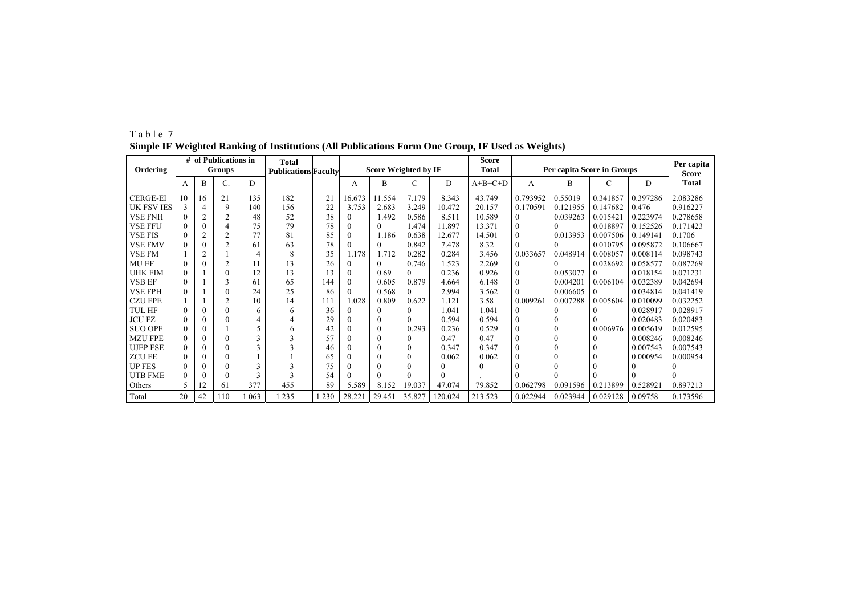|                   | # of Publications in<br><b>Groups</b><br>Ordering |                |                |     | Total<br><b>Publications Faculty</b> |       |          | <b>Score Weighted by IF</b> |          |         | <b>Score</b><br><b>Total</b> | Per capita Score in Groups | Per capita |          |          |                       |
|-------------------|---------------------------------------------------|----------------|----------------|-----|--------------------------------------|-------|----------|-----------------------------|----------|---------|------------------------------|----------------------------|------------|----------|----------|-----------------------|
|                   | A                                                 | B              | C.             | D   |                                      |       | А        | B                           | C        | D       | $A+B+C+D$                    | А                          | B          | С        | D        | <b>Score</b><br>Total |
| <b>CERGE-EI</b>   | 10                                                | 16             | 21             | 135 | 182                                  | 21    | 16.673   | 11.554                      | 7.179    | 8.343   | 43.749                       | 0.793952                   | 0.55019    | 0.341857 | 0.397286 | 2.083286              |
| <b>UK FSV IES</b> |                                                   | 4              | 9              | 140 | 156                                  | 22    | 3.753    | 2.683                       | 3.249    | 10.472  | 20.157                       | 0.170591                   | 0.121955   | 0.147682 | 0.476    | 0.916227              |
| <b>VSE FNH</b>    |                                                   | 2              | $\overline{c}$ | 48  | 52                                   | 38    | $\theta$ | 1.492                       | 0.586    | 8.511   | 10.589                       | $\mathbf{0}$               | 0.039263   | 0.01542  | 0.223974 | 0.278658              |
| <b>VSE FFU</b>    |                                                   | $\theta$       |                | 75  | 79                                   | 78    |          | $\Omega$                    | 1.474    | 11.897  | 13.371                       | $\mathbf{0}$               | $\Omega$   | 0.018897 | 0.152526 | 0.171423              |
| <b>VSE FIS</b>    |                                                   | 2              | $\overline{2}$ | 77  | 81                                   | 85    |          | 1.186                       | 0.638    | 12.677  | 14.501                       | $\theta$                   | 0.013953   | 0.007506 | 0.149141 | 0.1706                |
| VSE FMV           |                                                   | $\Omega$       | $\mathfrak{D}$ | 61  | 63                                   | 78    |          | $\theta$                    | 0.842    | 7.478   | 8.32                         | $\Omega$                   |            | 0.010795 | 0.095872 | 0.106667              |
| VSE FM            |                                                   | $\overline{c}$ |                | 4   | 8                                    | 35    | 1.178    | 1.712                       | 0.282    | 0.284   | 3.456                        | 0.033657                   | 0.048914   | 0.008057 | 0.008114 | 0.098743              |
| <b>MU EF</b>      |                                                   | $\Omega$       | 2              |     | 13                                   | 26    |          | $\Omega$                    | 0.746    | 1.523   | 2.269                        | $\theta$                   | $\Omega$   | 0.028692 | 0.058577 | 0.087269              |
| <b>UHK FIM</b>    |                                                   |                | $\Omega$       | 12  | 13                                   | 13    | 0        | 0.69                        | $\theta$ | 0.236   | 0.926                        | $\mathbf{0}$               | 0.053077   |          | 0.018154 | 0.071231              |
| <b>VSB EF</b>     |                                                   |                | 3              | 61  | 65                                   | 144   |          | 0.605                       | 0.879    | 4.664   | 6.148                        | $\mathbf{0}$               | 0.004201   | 0.006104 | 0.032389 | 0.042694              |
| VSE FPH           |                                                   |                | 0              | 24  | 25                                   | 86    |          | 0.568                       | 0        | 2.994   | 3.562                        | $\Omega$                   | 0.006605   |          | 0.034814 | 0.041419              |
| <b>CZU FPE</b>    |                                                   |                | ↑              | 10  | 14                                   | 111   | .028     | 0.809                       | 0.622    | 1.121   | 3.58                         | 0.009261                   | 0.007288   | 0.005604 | 0.010099 | 0.032252              |
| TUL HF            |                                                   | $\Omega$       | 0              | 6   | 6                                    | 36    |          | $\Omega$                    |          | 1.041   | 1.041                        | $\theta$                   | $\Omega$   | $\theta$ | 0.028917 | 0.028917              |
| JCU FZ            |                                                   | 0              | 0              |     |                                      | 29    |          | $\theta$                    | $\theta$ | 0.594   | 0.594                        | $\mathbf{0}$               | $\theta$   |          | 0.020483 | 0.020483              |
| <b>SUO OPF</b>    |                                                   | $\theta$       |                |     | h                                    | 42    |          | $\theta$                    | 0.293    | 0.236   | 0.529                        | $\mathbf{0}$               |            | 0.006976 | 0.005619 | 0.012595              |
| <b>MZU FPE</b>    |                                                   | $\Omega$       | 0              | 3   |                                      | 57    |          | $\theta$                    |          | 0.47    | 0.47                         | $\theta$                   | $\theta$   |          | 0.008246 | 0.008246              |
| <b>UJEP FSE</b>   |                                                   | $\theta$       | 0              | 3   |                                      | 46    |          | $\theta$                    | $\theta$ | 0.347   | 0.347                        | $\theta$                   | $^{(1)}$   |          | 0.007543 | 0.007543              |
| <b>ZCUFE</b>      |                                                   | $\Omega$       | 0              |     |                                      | 65    |          | $\theta$                    | $\theta$ | 0.062   | 0.062                        | $\Omega$                   |            |          | 0.000954 | 0.000954              |
| <b>UP FES</b>     |                                                   | $\theta$       | 0              | 3   |                                      | 75    |          | $\theta$                    | $\Omega$ |         | 0                            | $\Omega$                   |            |          |          |                       |
| <b>UTB FME</b>    |                                                   | $\theta$       | 0              | 3   |                                      | 54    |          | $\Omega$                    | $\Omega$ | 0       |                              |                            |            |          |          |                       |
| Others            |                                                   | 12             | 61             | 377 | 455                                  | 89    | 5.589    | 8.152                       | 19.037   | 47.074  | 79.852                       | 0.062798                   | 0.091596   | 0.213899 | 0.528921 | 0.897213              |
| Total             | 20                                                | 42             | 110            | 063 | 1235                                 | 1 230 | 28.221   | 29.451                      | 35.827   | 120.024 | 213.523                      | 0.022944                   | 0.023944   | 0.029128 | 0.09758  | 0.173596              |

T a b l e 7 **Simple IF Weighted Ranking of Institutions (All Publications Form One Group, IF Used as Weights)**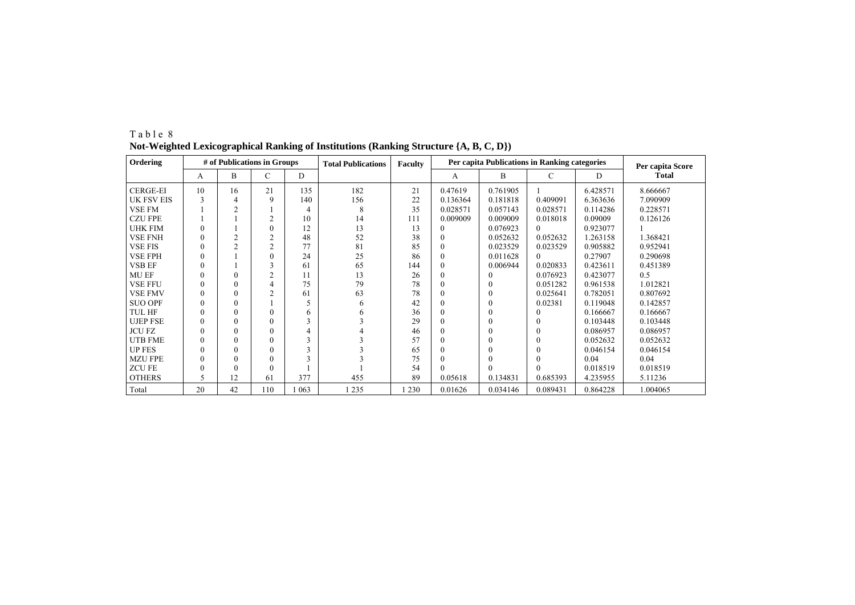| Ordering          |          | # of Publications in Groups |                |         | <b>Total Publications</b> | Faculty |          | Per capita Publications in Ranking categories | Per capita Score |          |              |
|-------------------|----------|-----------------------------|----------------|---------|---------------------------|---------|----------|-----------------------------------------------|------------------|----------|--------------|
|                   | A        | B                           | C              | D       |                           |         | A        | B                                             | C                | D        | <b>Total</b> |
| <b>CERGE-EI</b>   | 10       | 16                          | 21             | 135     | 182                       | 21      | 0.47619  | 0.761905                                      |                  | 6.428571 | 8.666667     |
| <b>UK FSV EIS</b> |          | 4                           | 9              | 140     | 156                       | 22      | 0.136364 | 0.181818                                      | 0.409091         | 6.363636 | 7.090909     |
| <b>VSE FM</b>     |          | ↑                           |                |         | 8                         | 35      | 0.028571 | 0.057143                                      | 0.028571         | 0.114286 | 0.228571     |
| <b>CZU FPE</b>    |          |                             |                | 10      | 14                        | 111     | 0.009009 | 0.009009                                      | 0.018018         | 0.09009  | 0.126126     |
| <b>UHK FIM</b>    | 0        |                             |                | 12      | 13                        | 13      |          | 0.076923                                      | $\Omega$         | 0.923077 |              |
| <b>VSE FNH</b>    | 0        |                             | $\overline{c}$ | 48      | 52                        | 38      |          | 0.052632                                      | 0.052632         | 1.263158 | 1.368421     |
| <b>VSE FIS</b>    | $\theta$ | ↑                           | 2              | 77      | 81                        | 85      |          | 0.023529                                      | 0.023529         | 0.905882 | 0.952941     |
| <b>VSE FPH</b>    | 0        |                             |                | 24      | 25                        | 86      |          | 0.011628                                      | $\Omega$         | 0.27907  | 0.290698     |
| <b>VSB EF</b>     | 0        |                             |                | 61      | 65                        | 144     |          | 0.006944                                      | 0.020833         | 0.423611 | 0.451389     |
| MU EF             |          | $\theta$                    |                | 11      | 13                        | 26      |          |                                               | 0.076923         | 0.423077 | 0.5          |
| <b>VSE FFU</b>    | 0        | $\theta$                    |                | 75      | 79                        | 78      |          |                                               | 0.051282         | 0.961538 | 1.012821     |
| <b>VSE FMV</b>    | 0        | 0                           |                | 61      | 63                        | 78      | $\Omega$ | $\Omega$                                      | 0.025641         | 0.782051 | 0.807692     |
| <b>SUO OPF</b>    | 0        | $\theta$                    |                |         | <sub>6</sub>              | 42      | 0        | $\Omega$                                      | 0.02381          | 0.119048 | 0.142857     |
| <b>TUL HF</b>     |          | $\theta$                    |                | 6       | <sub>6</sub>              | 36      |          | 0                                             |                  | 0.166667 | 0.166667     |
| <b>UJEP FSE</b>   | 0        | $\theta$                    |                |         |                           | 29      |          | 0                                             | $\Omega$         | 0.103448 | 0.103448     |
| <b>JCU FZ</b>     | 0        | $\theta$                    |                |         |                           | 46      | $\Omega$ | 0                                             | $\Omega$         | 0.086957 | 0.086957     |
| <b>UTB FME</b>    | 0        | $\Omega$                    |                |         |                           | 57      | $\Omega$ | 0                                             |                  | 0.052632 | 0.052632     |
| <b>UP FES</b>     | 0        | $\Omega$                    |                |         |                           | 65      |          | 0                                             |                  | 0.046154 | 0.046154     |
| <b>MZU FPE</b>    |          | $\theta$                    |                |         |                           | 75      |          |                                               |                  | 0.04     | 0.04         |
| <b>ZCUFE</b>      |          | $\Omega$                    |                |         |                           | 54      |          |                                               |                  | 0.018519 | 0.018519     |
| <b>OTHERS</b>     | 5        | 12                          | 61             | 377     | 455                       | 89      | 0.05618  | 0.134831                                      | 0.685393         | 4.235955 | 5.11236      |
| Total             | 20       | 42                          | 110            | 1 0 6 3 | 1 2 3 5                   | 1 2 3 0 | 0.01626  | 0.034146                                      | 0.089431         | 0.864228 | 1.004065     |

T a b l e 8 **Not-Weighted Lexicographical Ranking of Institutions (Ranking Structure {A, B, C, D})**